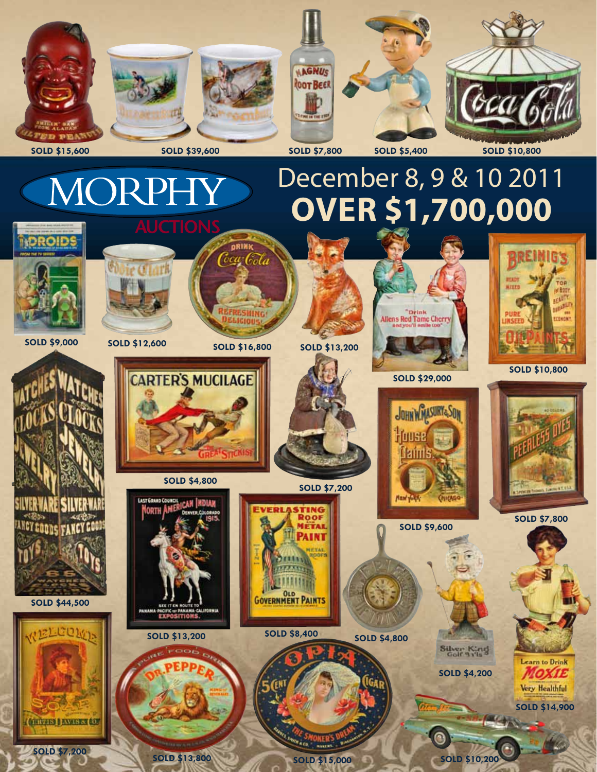

**SOLD \$7,200 SOLD \$13,800** 

**SOLD \$15,000**

**SOLD \$10,200**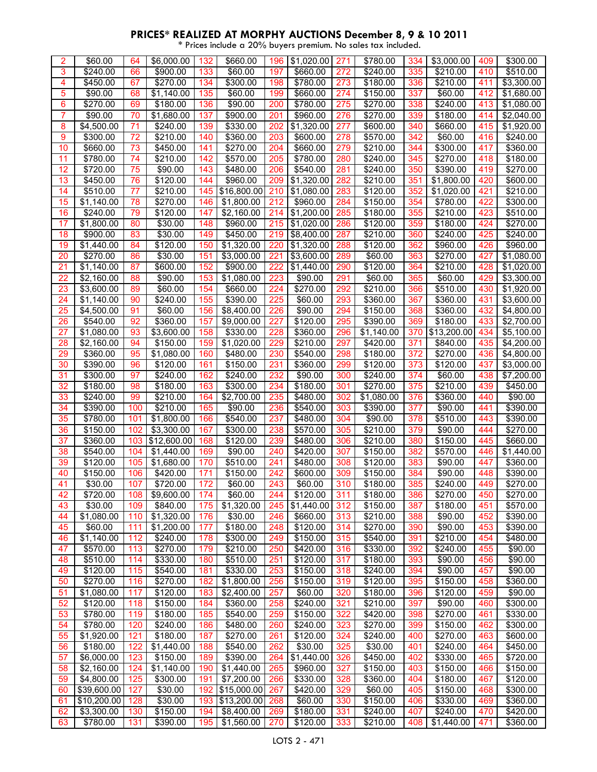| 3<br>66<br>133<br>197<br>272<br>\$210.00<br>410<br>\$510.00<br>\$240.00<br>\$900.00<br>\$60.00<br>\$660.00<br>\$240.00<br>335<br>4<br>\$450.00<br>67<br>\$270.00<br>134<br>\$300.00<br>198<br>\$780.00<br>273<br>\$180.00<br>336<br>\$210.00<br>411<br>\$3,300.00<br>135<br>5<br>\$90.00<br>68<br>$\overline{$}1,140.00$<br>\$60.00<br>\$660.00<br>274<br>\$150.00<br>337<br>\$60.00<br>412<br>\$1,680.00<br>199<br>\$180.00<br>136<br>\$780.00<br>\$270.00<br>6<br>\$270.00<br>69<br>\$90.00<br>200<br>275<br>338<br>\$240.00<br>413<br>\$1,080.00<br>137<br>7<br>\$90.00<br>70<br>\$1,680.00<br>\$900.00<br>\$960.00<br>276<br>\$270.00<br>339<br>\$180.00<br>414<br>\$2,040.00<br>201<br>8<br>$\overline{54}, 500.00$<br>71<br>\$240.00<br>139<br>\$330.00<br>202<br>\$1,320.00<br>277<br>\$600.00<br>340<br>\$660.00<br>415<br>$\overline{$}1,920.00$<br>9<br>\$300.00<br>72<br>\$210.00<br>140<br>\$360.00<br>\$600.00<br>342<br>\$60.00<br>\$240.00<br>203<br>278<br>\$570.00<br>416<br>10<br>\$660.00<br>73<br>\$450.00<br>141<br>\$270.00<br>\$660.00<br>279<br>\$210.00<br>417<br>\$360.00<br>204<br>344<br>\$300.00<br>\$780.00<br>74<br>\$210.00<br>142<br>\$570.00<br>205<br>\$780.00<br>280<br>\$240.00<br>345<br>\$270.00<br>418<br>\$180.00<br>11<br>12<br>\$720.00<br>75<br>\$90.00<br>143<br>\$480.00<br>206<br>\$540.00<br>281<br>\$240.00<br>350<br>\$390.00<br>419<br>\$270.00<br>76<br>\$120.00<br>\$1,320.00<br>420<br>13<br>\$450.00<br>144<br>\$960.00<br>209<br>282<br>\$210.00<br>351<br>\$1,800.00<br>\$600.00<br>145<br>14<br>\$510.00<br>77<br>\$210.00<br>\$16,800.00<br>210<br>\$1,080.00<br>283<br>\$120.00<br>352<br>\$1,020.00<br>421<br>\$210.00<br>15<br>78<br>\$270.00<br>146<br>212<br>\$960.00<br>284<br>354<br>\$780.00<br>422<br>\$300.00<br>\$1,140.00<br>\$1,800.00<br>\$150.00<br>79<br>147<br>214<br>\$1,200.00<br>\$210.00<br>423<br>\$510.00<br>16<br>\$240.00<br>\$120.00<br>\$2,160.00<br>285<br>\$180.00<br>355<br>17<br>80<br>148<br>\$960.00<br>215<br>359<br>\$180.00<br>424<br>\$270.00<br>\$1,800.00<br>\$30.00<br>\$1,020.00<br>286<br>\$120.00<br>18<br>83<br>\$30.00<br>149<br>\$450.00<br>219<br>287<br>360<br>425<br>\$900.00<br>\$8,400.00<br>\$210.00<br>\$240.00<br>\$240.00<br>19<br>\$120.00<br>150<br>\$1,320.00<br>220<br>\$1,320.00<br>288<br>\$120.00<br>362<br>\$960.00<br>426<br>\$960.00<br>\$1,440.00<br>84<br>\$270.00<br>\$30.00<br>151<br>\$3,000.00<br>221<br>\$3,600.00<br>\$270.00<br>427<br>\$1,080.00<br>20<br>86<br>289<br>\$60.00<br>363<br>152<br>21<br>87<br>\$600.00<br>\$900.00<br>222<br>\$1,440.00<br>290<br>\$120.00<br>$\sqrt{$210.00}$<br>428<br>\$1,020.00<br>\$1,140.00<br>364<br>22<br>223<br>429<br>\$2,160.00<br>88<br>\$90.00<br>153<br>\$1,080.00<br>\$90.00<br>291<br>365<br>\$60.00<br>\$3,300.00<br>\$60.00<br>23<br>\$3,600.00<br>\$60.00<br>154<br>\$660.00<br>\$270.00<br>\$210.00<br>\$510.00<br>430<br>89<br>224<br>292<br>366<br>\$1,920.00<br>155<br>24<br>90<br>\$240.00<br>\$390.00<br>225<br>\$60.00<br>293<br>367<br>\$360.00<br>431<br>\$1,140.00<br>\$360.00<br>\$3,600.00<br>25<br>91<br>156<br>226<br>294<br>432<br>\$4,500.00<br>\$60.00<br>\$8,400.00<br>\$90.00<br>\$150.00<br>368<br>\$360.00<br>\$4,800.00<br>26<br>\$540.00<br>92<br>\$360.00<br>157<br>\$9,000.00<br>227<br>\$120.00<br>295<br>\$390.00<br>369<br>\$180.00<br>433<br>\$2,700.00<br>27<br>93<br>\$3,600.00<br>158<br>\$330.00<br>228<br>\$360.00<br>\$13,200.00<br>434<br>\$1,080.00<br>296<br>\$1,140.00<br>370<br>\$5,100.00<br>159<br>28<br>\$2,160.00<br>94<br>\$150.00<br>\$1,020.00<br>229<br>\$210.00<br>297<br>\$420.00<br>371<br>\$840.00<br>435<br>\$4,200.00<br>29<br>\$360.00<br>95<br>160<br>\$480.00<br>230<br>\$540.00<br>298<br>372<br>\$270.00<br>436<br>\$1,080.00<br>\$180.00<br>\$4,800.00<br>30<br>\$390.00<br>96<br>\$120.00<br>161<br>\$150.00<br>231<br>\$360.00<br>299<br>\$120.00<br>373<br>\$120.00<br>437<br>\$3,000.00<br>31<br>162<br>232<br>438<br>\$300.00<br>97<br>\$240.00<br>\$240.00<br>\$90.00<br>300<br>\$240.00<br>374<br>\$60.00<br>\$7,200.00<br>32<br>163<br>98<br>\$180.00<br>\$300.00<br>234<br>\$180.00<br>301<br>\$270.00<br>375<br>\$210.00<br>439<br>\$180.00<br>\$450.00<br>33<br>\$240.00<br>99<br>\$210.00<br>164<br>\$2,700.00<br>235<br>\$480.00<br>302<br>\$1,080.00<br>376<br>\$360.00<br>\$90.00<br>440<br>\$210.00<br>165<br>34<br>\$390.00<br>100<br>\$90.00<br>236<br>\$540.00<br>303<br>\$390.00<br>377<br>\$90.00<br>441<br>\$390.00<br>35<br>\$780.00<br>101<br>$\overline{51}, 800.00$<br>166<br>\$540.00<br>237<br>\$480.00<br>378<br>\$510.00<br>304<br>\$90.00<br>443<br>\$390.00<br>36<br>\$150.00<br>102<br>\$3,300.00<br>167<br>\$300.00<br>238<br>\$570.00<br>\$210.00<br>379<br>\$90.00<br>444<br>\$270.00<br>305<br>\$12,600.00<br>\$120.00<br>\$660.00<br>37<br>\$360.00<br>103<br>168<br>239<br>\$480.00<br>306<br>\$210.00<br>380<br>\$150.00<br>445<br>38<br>169<br>\$90.00<br>\$420.00<br>307<br>\$150.00<br>382<br>\$570.00<br>446<br>\$540.00<br>104<br>\$1,440.00<br>240<br>\$1,440.00<br>39<br>\$120.00<br>105<br>170<br>\$510.00<br>241<br>\$480.00<br>308<br>\$120.00<br>383<br>\$90.00<br>447<br>\$360.00<br>\$1,680.00<br>40<br>\$150.00<br>171<br>\$150.00<br>242<br>\$600.00<br>\$150.00<br>384<br>\$90.00<br>106<br>\$420.00<br>309<br>448<br>\$390.00<br>41<br>172<br>\$30.00<br>107<br>\$720.00<br>\$60.00<br>243<br>\$60.00<br>310<br>\$180.00<br>385<br>\$240.00<br>449<br>\$270.00<br>\$9,600.00<br>\$120.00<br>\$180.00<br>\$270.00<br>\$720.00<br>\$60.00<br>\$270.00<br>108<br>174<br>244<br>311<br>386<br>450<br>42<br>43<br>\$30.00<br>109<br>\$840.00<br>175<br>\$1,320.00<br>245<br>\$1,440.00<br>312<br>\$150.00<br>387<br>\$180.00<br>451<br>\$570.00<br>\$1,320.00<br>\$210.00<br>\$90.00<br>452<br>\$390.00<br>44<br>\$1,080.00<br>110<br>176<br>\$30.00<br>246<br>\$660.00<br>313<br>388<br>45<br>\$60.00<br>\$1,200.00<br>177<br>\$180.00<br>248<br>\$120.00<br>314<br>\$270.00<br>390<br>\$90.00<br>453<br>\$390.00<br>111<br>249<br>\$210.00<br>46<br>\$1,140.00<br>112<br>\$240.00<br>178<br>\$300.00<br>\$150.00<br>315<br>\$540.00<br>391<br>454<br>\$480.00<br>\$570.00<br>\$270.00<br>179<br>\$210.00<br>\$420.00<br>\$330.00<br>\$240.00<br>455<br>\$90.00<br>47<br>113<br>250<br>316<br>392<br>\$330.00<br>\$510.00<br>\$120.00<br>\$90.00<br>48<br>\$510.00<br>114<br>180<br>251<br>317<br>\$180.00<br>393<br>456<br>\$90.00<br>\$90.00<br>49<br>\$120.00<br>115<br>\$540.00<br>181<br>\$330.00<br>253<br>\$150.00<br>\$240.00<br>394<br>457<br>\$90.00<br>318<br>\$270.00<br>\$270.00<br>182<br>\$1,800.00<br>256<br>\$150.00<br>\$120.00<br>395<br>\$150.00<br>\$360.00<br>50<br>116<br>319<br>458<br>51<br>117<br>\$120.00<br>183<br>\$2,400.00<br>257<br>\$60.00<br>320<br>396<br>\$120.00<br>459<br>\$90.00<br>\$1,080.00<br>\$180.00<br>52<br>\$120.00<br>118<br>\$150.00<br>184<br>\$360.00<br>258<br>\$240.00<br>321<br>\$210.00<br>397<br>\$90.00<br>460<br>\$300.00<br>53<br>\$780.00<br>119<br>\$180.00<br>185<br>\$540.00<br>259<br>\$150.00<br>322<br>\$420.00<br>398<br>\$270.00<br>461<br>\$330.00<br>\$780.00<br>120<br>\$240.00<br>\$480.00<br>\$240.00<br>323<br>\$270.00<br>\$150.00<br>\$300.00<br>54<br>186<br>260<br>399<br>462<br>121<br>\$180.00<br>187<br>\$270.00<br>\$120.00<br>$\frac{1}{2270.00}$<br>55<br>\$1,920.00<br>324<br>\$240.00<br>400<br>463<br>\$600.00<br>261<br>122<br>56<br>\$180.00<br>\$1,440.00<br>188<br>\$540.00<br>262<br>\$30.00<br>325<br>\$30.00<br>401<br>\$240.00<br>464<br>\$450.00<br>\$6,000.00<br>123<br>\$150.00<br>189<br>\$390.00<br>\$1,440.00<br>\$450.00<br>402<br>\$330.00<br>465<br>\$720.00<br>57<br>264<br>326<br>327<br>58<br>\$2,160.00<br>124<br>\$1,140.00<br>190<br>\$1,440.00<br>\$960.00<br>\$150.00<br>403<br>\$150.00<br>\$150.00<br>265<br>466<br>59<br>125<br>\$300.00<br>191<br>\$7,200.00<br>266<br>328<br>404<br>\$180.00<br>467<br>\$4,800.00<br>\$330.00<br>\$360.00<br>\$120.00<br>\$30.00<br>60<br>\$39,600.00<br>127<br>192 \$15,000.00<br>267<br>\$420.00<br>329<br>\$60.00<br>405<br>\$150.00<br>\$300.00<br>468<br>\$10,200.00<br>\$30.00<br>193 \$13,200.00<br>\$60.00<br>\$150.00<br>\$330.00<br>\$360.00<br>128<br>268<br>330<br>406<br>469<br>61<br>62<br>\$3,300.00<br>130<br>\$150.00<br>194<br>\$8,400.00<br>\$180.00<br>331<br>\$240.00<br>\$240.00<br>470<br>\$420.00<br>269<br>407 | 2  | \$60.00  | 64  | \$6,000.00 | 132 | \$660.00   | 196 | \$1,020.00 | 271 | \$780.00 | 334 | \$3,000.00 | 409 | \$300.00 |
|-------------------------------------------------------------------------------------------------------------------------------------------------------------------------------------------------------------------------------------------------------------------------------------------------------------------------------------------------------------------------------------------------------------------------------------------------------------------------------------------------------------------------------------------------------------------------------------------------------------------------------------------------------------------------------------------------------------------------------------------------------------------------------------------------------------------------------------------------------------------------------------------------------------------------------------------------------------------------------------------------------------------------------------------------------------------------------------------------------------------------------------------------------------------------------------------------------------------------------------------------------------------------------------------------------------------------------------------------------------------------------------------------------------------------------------------------------------------------------------------------------------------------------------------------------------------------------------------------------------------------------------------------------------------------------------------------------------------------------------------------------------------------------------------------------------------------------------------------------------------------------------------------------------------------------------------------------------------------------------------------------------------------------------------------------------------------------------------------------------------------------------------------------------------------------------------------------------------------------------------------------------------------------------------------------------------------------------------------------------------------------------------------------------------------------------------------------------------------------------------------------------------------------------------------------------------------------------------------------------------------------------------------------------------------------------------------------------------------------------------------------------------------------------------------------------------------------------------------------------------------------------------------------------------------------------------------------------------------------------------------------------------------------------------------------------------------------------------------------------------------------------------------------------------------------------------------------------------------------------------------------------------------------------------------------------------------------------------------------------------------------------------------------------------------------------------------------------------------------------------------------------------------------------------------------------------------------------------------------------------------------------------------------------------------------------------------------------------------------------------------------------------------------------------------------------------------------------------------------------------------------------------------------------------------------------------------------------------------------------------------------------------------------------------------------------------------------------------------------------------------------------------------------------------------------------------------------------------------------------------------------------------------------------------------------------------------------------------------------------------------------------------------------------------------------------------------------------------------------------------------------------------------------------------------------------------------------------------------------------------------------------------------------------------------------------------------------------------------------------------------------------------------------------------------------------------------------------------------------------------------------------------------------------------------------------------------------------------------------------------------------------------------------------------------------------------------------------------------------------------------------------------------------------------------------------------------------------------------------------------------------------------------------------------------------------------------------------------------------------------------------------------------------------------------------------------------------------------------------------------------------------------------------------------------------------------------------------------------------------------------------------------------------------------------------------------------------------------------------------------------------------------------------------------------------------------------------------------------------------------------------------------------------------------------------------------------------------------------------------------------------------------------------------------------------------------------------------------------------------------------------------------------------------------------------------------------------------------------------------------------------------------------------------------------------------------------------------------------------------------------------------------------------------------------------------------------------------------------------------------------------------------------------------------------------------------------------------------------------------------------------------------------------------------------------------------------------------------------------------------------------------------------------------------------------------------------------------------------------------------------------------------------------------------------------------------------------------------------------------------------------------------------------------------------------------------------------------------------------------------------------------------------------------------------------------------------------------------------------------------------------------------------------------------------------------------------------------------------------------------------------------------------------------------------------------------------------------------------------------------------------------------------------------------------------------------------------------------------------------------------------------------------------------------------------------------------------------------------------------------------------------------------------------------------------------------------------------------------------------------------------------------------------------------------------------------------------------------------------------------------------------------------------------------------------------------------------------------------------------------------------------------------------------------------------------------------------------------------------------------------------------------------------------------------------------------------------------------------------------------------------------------------------|----|----------|-----|------------|-----|------------|-----|------------|-----|----------|-----|------------|-----|----------|
|                                                                                                                                                                                                                                                                                                                                                                                                                                                                                                                                                                                                                                                                                                                                                                                                                                                                                                                                                                                                                                                                                                                                                                                                                                                                                                                                                                                                                                                                                                                                                                                                                                                                                                                                                                                                                                                                                                                                                                                                                                                                                                                                                                                                                                                                                                                                                                                                                                                                                                                                                                                                                                                                                                                                                                                                                                                                                                                                                                                                                                                                                                                                                                                                                                                                                                                                                                                                                                                                                                                                                                                                                                                                                                                                                                                                                                                                                                                                                                                                                                                                                                                                                                                                                                                                                                                                                                                                                                                                                                                                                                                                                                                                                                                                                                                                                                                                                                                                                                                                                                                                                                                                                                                                                                                                                                                                                                                                                                                                                                                                                                                                                                                                                                                                                                                                                                                                                                                                                                                                                                                                                                                                                                                                                                                                                                                                                                                                                                                                                                                                                                                                                                                                                                                                                                                                                                                                                                                                                                                                                                                                                                                                                                                                                                                                                                                                                                                                                                                                                                                                                                                                                                                                                                                                                                                                                                                                                                                                                                                                                                                                                                                                                                                                                                                                                                                                                                                                       |    |          |     |            |     |            |     |            |     |          |     |            |     |          |
|                                                                                                                                                                                                                                                                                                                                                                                                                                                                                                                                                                                                                                                                                                                                                                                                                                                                                                                                                                                                                                                                                                                                                                                                                                                                                                                                                                                                                                                                                                                                                                                                                                                                                                                                                                                                                                                                                                                                                                                                                                                                                                                                                                                                                                                                                                                                                                                                                                                                                                                                                                                                                                                                                                                                                                                                                                                                                                                                                                                                                                                                                                                                                                                                                                                                                                                                                                                                                                                                                                                                                                                                                                                                                                                                                                                                                                                                                                                                                                                                                                                                                                                                                                                                                                                                                                                                                                                                                                                                                                                                                                                                                                                                                                                                                                                                                                                                                                                                                                                                                                                                                                                                                                                                                                                                                                                                                                                                                                                                                                                                                                                                                                                                                                                                                                                                                                                                                                                                                                                                                                                                                                                                                                                                                                                                                                                                                                                                                                                                                                                                                                                                                                                                                                                                                                                                                                                                                                                                                                                                                                                                                                                                                                                                                                                                                                                                                                                                                                                                                                                                                                                                                                                                                                                                                                                                                                                                                                                                                                                                                                                                                                                                                                                                                                                                                                                                                                                                       |    |          |     |            |     |            |     |            |     |          |     |            |     |          |
|                                                                                                                                                                                                                                                                                                                                                                                                                                                                                                                                                                                                                                                                                                                                                                                                                                                                                                                                                                                                                                                                                                                                                                                                                                                                                                                                                                                                                                                                                                                                                                                                                                                                                                                                                                                                                                                                                                                                                                                                                                                                                                                                                                                                                                                                                                                                                                                                                                                                                                                                                                                                                                                                                                                                                                                                                                                                                                                                                                                                                                                                                                                                                                                                                                                                                                                                                                                                                                                                                                                                                                                                                                                                                                                                                                                                                                                                                                                                                                                                                                                                                                                                                                                                                                                                                                                                                                                                                                                                                                                                                                                                                                                                                                                                                                                                                                                                                                                                                                                                                                                                                                                                                                                                                                                                                                                                                                                                                                                                                                                                                                                                                                                                                                                                                                                                                                                                                                                                                                                                                                                                                                                                                                                                                                                                                                                                                                                                                                                                                                                                                                                                                                                                                                                                                                                                                                                                                                                                                                                                                                                                                                                                                                                                                                                                                                                                                                                                                                                                                                                                                                                                                                                                                                                                                                                                                                                                                                                                                                                                                                                                                                                                                                                                                                                                                                                                                                                                       |    |          |     |            |     |            |     |            |     |          |     |            |     |          |
|                                                                                                                                                                                                                                                                                                                                                                                                                                                                                                                                                                                                                                                                                                                                                                                                                                                                                                                                                                                                                                                                                                                                                                                                                                                                                                                                                                                                                                                                                                                                                                                                                                                                                                                                                                                                                                                                                                                                                                                                                                                                                                                                                                                                                                                                                                                                                                                                                                                                                                                                                                                                                                                                                                                                                                                                                                                                                                                                                                                                                                                                                                                                                                                                                                                                                                                                                                                                                                                                                                                                                                                                                                                                                                                                                                                                                                                                                                                                                                                                                                                                                                                                                                                                                                                                                                                                                                                                                                                                                                                                                                                                                                                                                                                                                                                                                                                                                                                                                                                                                                                                                                                                                                                                                                                                                                                                                                                                                                                                                                                                                                                                                                                                                                                                                                                                                                                                                                                                                                                                                                                                                                                                                                                                                                                                                                                                                                                                                                                                                                                                                                                                                                                                                                                                                                                                                                                                                                                                                                                                                                                                                                                                                                                                                                                                                                                                                                                                                                                                                                                                                                                                                                                                                                                                                                                                                                                                                                                                                                                                                                                                                                                                                                                                                                                                                                                                                                                                       |    |          |     |            |     |            |     |            |     |          |     |            |     |          |
|                                                                                                                                                                                                                                                                                                                                                                                                                                                                                                                                                                                                                                                                                                                                                                                                                                                                                                                                                                                                                                                                                                                                                                                                                                                                                                                                                                                                                                                                                                                                                                                                                                                                                                                                                                                                                                                                                                                                                                                                                                                                                                                                                                                                                                                                                                                                                                                                                                                                                                                                                                                                                                                                                                                                                                                                                                                                                                                                                                                                                                                                                                                                                                                                                                                                                                                                                                                                                                                                                                                                                                                                                                                                                                                                                                                                                                                                                                                                                                                                                                                                                                                                                                                                                                                                                                                                                                                                                                                                                                                                                                                                                                                                                                                                                                                                                                                                                                                                                                                                                                                                                                                                                                                                                                                                                                                                                                                                                                                                                                                                                                                                                                                                                                                                                                                                                                                                                                                                                                                                                                                                                                                                                                                                                                                                                                                                                                                                                                                                                                                                                                                                                                                                                                                                                                                                                                                                                                                                                                                                                                                                                                                                                                                                                                                                                                                                                                                                                                                                                                                                                                                                                                                                                                                                                                                                                                                                                                                                                                                                                                                                                                                                                                                                                                                                                                                                                                                                       |    |          |     |            |     |            |     |            |     |          |     |            |     |          |
|                                                                                                                                                                                                                                                                                                                                                                                                                                                                                                                                                                                                                                                                                                                                                                                                                                                                                                                                                                                                                                                                                                                                                                                                                                                                                                                                                                                                                                                                                                                                                                                                                                                                                                                                                                                                                                                                                                                                                                                                                                                                                                                                                                                                                                                                                                                                                                                                                                                                                                                                                                                                                                                                                                                                                                                                                                                                                                                                                                                                                                                                                                                                                                                                                                                                                                                                                                                                                                                                                                                                                                                                                                                                                                                                                                                                                                                                                                                                                                                                                                                                                                                                                                                                                                                                                                                                                                                                                                                                                                                                                                                                                                                                                                                                                                                                                                                                                                                                                                                                                                                                                                                                                                                                                                                                                                                                                                                                                                                                                                                                                                                                                                                                                                                                                                                                                                                                                                                                                                                                                                                                                                                                                                                                                                                                                                                                                                                                                                                                                                                                                                                                                                                                                                                                                                                                                                                                                                                                                                                                                                                                                                                                                                                                                                                                                                                                                                                                                                                                                                                                                                                                                                                                                                                                                                                                                                                                                                                                                                                                                                                                                                                                                                                                                                                                                                                                                                                                       |    |          |     |            |     |            |     |            |     |          |     |            |     |          |
|                                                                                                                                                                                                                                                                                                                                                                                                                                                                                                                                                                                                                                                                                                                                                                                                                                                                                                                                                                                                                                                                                                                                                                                                                                                                                                                                                                                                                                                                                                                                                                                                                                                                                                                                                                                                                                                                                                                                                                                                                                                                                                                                                                                                                                                                                                                                                                                                                                                                                                                                                                                                                                                                                                                                                                                                                                                                                                                                                                                                                                                                                                                                                                                                                                                                                                                                                                                                                                                                                                                                                                                                                                                                                                                                                                                                                                                                                                                                                                                                                                                                                                                                                                                                                                                                                                                                                                                                                                                                                                                                                                                                                                                                                                                                                                                                                                                                                                                                                                                                                                                                                                                                                                                                                                                                                                                                                                                                                                                                                                                                                                                                                                                                                                                                                                                                                                                                                                                                                                                                                                                                                                                                                                                                                                                                                                                                                                                                                                                                                                                                                                                                                                                                                                                                                                                                                                                                                                                                                                                                                                                                                                                                                                                                                                                                                                                                                                                                                                                                                                                                                                                                                                                                                                                                                                                                                                                                                                                                                                                                                                                                                                                                                                                                                                                                                                                                                                                                       |    |          |     |            |     |            |     |            |     |          |     |            |     |          |
|                                                                                                                                                                                                                                                                                                                                                                                                                                                                                                                                                                                                                                                                                                                                                                                                                                                                                                                                                                                                                                                                                                                                                                                                                                                                                                                                                                                                                                                                                                                                                                                                                                                                                                                                                                                                                                                                                                                                                                                                                                                                                                                                                                                                                                                                                                                                                                                                                                                                                                                                                                                                                                                                                                                                                                                                                                                                                                                                                                                                                                                                                                                                                                                                                                                                                                                                                                                                                                                                                                                                                                                                                                                                                                                                                                                                                                                                                                                                                                                                                                                                                                                                                                                                                                                                                                                                                                                                                                                                                                                                                                                                                                                                                                                                                                                                                                                                                                                                                                                                                                                                                                                                                                                                                                                                                                                                                                                                                                                                                                                                                                                                                                                                                                                                                                                                                                                                                                                                                                                                                                                                                                                                                                                                                                                                                                                                                                                                                                                                                                                                                                                                                                                                                                                                                                                                                                                                                                                                                                                                                                                                                                                                                                                                                                                                                                                                                                                                                                                                                                                                                                                                                                                                                                                                                                                                                                                                                                                                                                                                                                                                                                                                                                                                                                                                                                                                                                                                       |    |          |     |            |     |            |     |            |     |          |     |            |     |          |
|                                                                                                                                                                                                                                                                                                                                                                                                                                                                                                                                                                                                                                                                                                                                                                                                                                                                                                                                                                                                                                                                                                                                                                                                                                                                                                                                                                                                                                                                                                                                                                                                                                                                                                                                                                                                                                                                                                                                                                                                                                                                                                                                                                                                                                                                                                                                                                                                                                                                                                                                                                                                                                                                                                                                                                                                                                                                                                                                                                                                                                                                                                                                                                                                                                                                                                                                                                                                                                                                                                                                                                                                                                                                                                                                                                                                                                                                                                                                                                                                                                                                                                                                                                                                                                                                                                                                                                                                                                                                                                                                                                                                                                                                                                                                                                                                                                                                                                                                                                                                                                                                                                                                                                                                                                                                                                                                                                                                                                                                                                                                                                                                                                                                                                                                                                                                                                                                                                                                                                                                                                                                                                                                                                                                                                                                                                                                                                                                                                                                                                                                                                                                                                                                                                                                                                                                                                                                                                                                                                                                                                                                                                                                                                                                                                                                                                                                                                                                                                                                                                                                                                                                                                                                                                                                                                                                                                                                                                                                                                                                                                                                                                                                                                                                                                                                                                                                                                                                       |    |          |     |            |     |            |     |            |     |          |     |            |     |          |
|                                                                                                                                                                                                                                                                                                                                                                                                                                                                                                                                                                                                                                                                                                                                                                                                                                                                                                                                                                                                                                                                                                                                                                                                                                                                                                                                                                                                                                                                                                                                                                                                                                                                                                                                                                                                                                                                                                                                                                                                                                                                                                                                                                                                                                                                                                                                                                                                                                                                                                                                                                                                                                                                                                                                                                                                                                                                                                                                                                                                                                                                                                                                                                                                                                                                                                                                                                                                                                                                                                                                                                                                                                                                                                                                                                                                                                                                                                                                                                                                                                                                                                                                                                                                                                                                                                                                                                                                                                                                                                                                                                                                                                                                                                                                                                                                                                                                                                                                                                                                                                                                                                                                                                                                                                                                                                                                                                                                                                                                                                                                                                                                                                                                                                                                                                                                                                                                                                                                                                                                                                                                                                                                                                                                                                                                                                                                                                                                                                                                                                                                                                                                                                                                                                                                                                                                                                                                                                                                                                                                                                                                                                                                                                                                                                                                                                                                                                                                                                                                                                                                                                                                                                                                                                                                                                                                                                                                                                                                                                                                                                                                                                                                                                                                                                                                                                                                                                                                       |    |          |     |            |     |            |     |            |     |          |     |            |     |          |
|                                                                                                                                                                                                                                                                                                                                                                                                                                                                                                                                                                                                                                                                                                                                                                                                                                                                                                                                                                                                                                                                                                                                                                                                                                                                                                                                                                                                                                                                                                                                                                                                                                                                                                                                                                                                                                                                                                                                                                                                                                                                                                                                                                                                                                                                                                                                                                                                                                                                                                                                                                                                                                                                                                                                                                                                                                                                                                                                                                                                                                                                                                                                                                                                                                                                                                                                                                                                                                                                                                                                                                                                                                                                                                                                                                                                                                                                                                                                                                                                                                                                                                                                                                                                                                                                                                                                                                                                                                                                                                                                                                                                                                                                                                                                                                                                                                                                                                                                                                                                                                                                                                                                                                                                                                                                                                                                                                                                                                                                                                                                                                                                                                                                                                                                                                                                                                                                                                                                                                                                                                                                                                                                                                                                                                                                                                                                                                                                                                                                                                                                                                                                                                                                                                                                                                                                                                                                                                                                                                                                                                                                                                                                                                                                                                                                                                                                                                                                                                                                                                                                                                                                                                                                                                                                                                                                                                                                                                                                                                                                                                                                                                                                                                                                                                                                                                                                                                                                       |    |          |     |            |     |            |     |            |     |          |     |            |     |          |
|                                                                                                                                                                                                                                                                                                                                                                                                                                                                                                                                                                                                                                                                                                                                                                                                                                                                                                                                                                                                                                                                                                                                                                                                                                                                                                                                                                                                                                                                                                                                                                                                                                                                                                                                                                                                                                                                                                                                                                                                                                                                                                                                                                                                                                                                                                                                                                                                                                                                                                                                                                                                                                                                                                                                                                                                                                                                                                                                                                                                                                                                                                                                                                                                                                                                                                                                                                                                                                                                                                                                                                                                                                                                                                                                                                                                                                                                                                                                                                                                                                                                                                                                                                                                                                                                                                                                                                                                                                                                                                                                                                                                                                                                                                                                                                                                                                                                                                                                                                                                                                                                                                                                                                                                                                                                                                                                                                                                                                                                                                                                                                                                                                                                                                                                                                                                                                                                                                                                                                                                                                                                                                                                                                                                                                                                                                                                                                                                                                                                                                                                                                                                                                                                                                                                                                                                                                                                                                                                                                                                                                                                                                                                                                                                                                                                                                                                                                                                                                                                                                                                                                                                                                                                                                                                                                                                                                                                                                                                                                                                                                                                                                                                                                                                                                                                                                                                                                                                       |    |          |     |            |     |            |     |            |     |          |     |            |     |          |
|                                                                                                                                                                                                                                                                                                                                                                                                                                                                                                                                                                                                                                                                                                                                                                                                                                                                                                                                                                                                                                                                                                                                                                                                                                                                                                                                                                                                                                                                                                                                                                                                                                                                                                                                                                                                                                                                                                                                                                                                                                                                                                                                                                                                                                                                                                                                                                                                                                                                                                                                                                                                                                                                                                                                                                                                                                                                                                                                                                                                                                                                                                                                                                                                                                                                                                                                                                                                                                                                                                                                                                                                                                                                                                                                                                                                                                                                                                                                                                                                                                                                                                                                                                                                                                                                                                                                                                                                                                                                                                                                                                                                                                                                                                                                                                                                                                                                                                                                                                                                                                                                                                                                                                                                                                                                                                                                                                                                                                                                                                                                                                                                                                                                                                                                                                                                                                                                                                                                                                                                                                                                                                                                                                                                                                                                                                                                                                                                                                                                                                                                                                                                                                                                                                                                                                                                                                                                                                                                                                                                                                                                                                                                                                                                                                                                                                                                                                                                                                                                                                                                                                                                                                                                                                                                                                                                                                                                                                                                                                                                                                                                                                                                                                                                                                                                                                                                                                                                       |    |          |     |            |     |            |     |            |     |          |     |            |     |          |
|                                                                                                                                                                                                                                                                                                                                                                                                                                                                                                                                                                                                                                                                                                                                                                                                                                                                                                                                                                                                                                                                                                                                                                                                                                                                                                                                                                                                                                                                                                                                                                                                                                                                                                                                                                                                                                                                                                                                                                                                                                                                                                                                                                                                                                                                                                                                                                                                                                                                                                                                                                                                                                                                                                                                                                                                                                                                                                                                                                                                                                                                                                                                                                                                                                                                                                                                                                                                                                                                                                                                                                                                                                                                                                                                                                                                                                                                                                                                                                                                                                                                                                                                                                                                                                                                                                                                                                                                                                                                                                                                                                                                                                                                                                                                                                                                                                                                                                                                                                                                                                                                                                                                                                                                                                                                                                                                                                                                                                                                                                                                                                                                                                                                                                                                                                                                                                                                                                                                                                                                                                                                                                                                                                                                                                                                                                                                                                                                                                                                                                                                                                                                                                                                                                                                                                                                                                                                                                                                                                                                                                                                                                                                                                                                                                                                                                                                                                                                                                                                                                                                                                                                                                                                                                                                                                                                                                                                                                                                                                                                                                                                                                                                                                                                                                                                                                                                                                                                       |    |          |     |            |     |            |     |            |     |          |     |            |     |          |
|                                                                                                                                                                                                                                                                                                                                                                                                                                                                                                                                                                                                                                                                                                                                                                                                                                                                                                                                                                                                                                                                                                                                                                                                                                                                                                                                                                                                                                                                                                                                                                                                                                                                                                                                                                                                                                                                                                                                                                                                                                                                                                                                                                                                                                                                                                                                                                                                                                                                                                                                                                                                                                                                                                                                                                                                                                                                                                                                                                                                                                                                                                                                                                                                                                                                                                                                                                                                                                                                                                                                                                                                                                                                                                                                                                                                                                                                                                                                                                                                                                                                                                                                                                                                                                                                                                                                                                                                                                                                                                                                                                                                                                                                                                                                                                                                                                                                                                                                                                                                                                                                                                                                                                                                                                                                                                                                                                                                                                                                                                                                                                                                                                                                                                                                                                                                                                                                                                                                                                                                                                                                                                                                                                                                                                                                                                                                                                                                                                                                                                                                                                                                                                                                                                                                                                                                                                                                                                                                                                                                                                                                                                                                                                                                                                                                                                                                                                                                                                                                                                                                                                                                                                                                                                                                                                                                                                                                                                                                                                                                                                                                                                                                                                                                                                                                                                                                                                                                       |    |          |     |            |     |            |     |            |     |          |     |            |     |          |
|                                                                                                                                                                                                                                                                                                                                                                                                                                                                                                                                                                                                                                                                                                                                                                                                                                                                                                                                                                                                                                                                                                                                                                                                                                                                                                                                                                                                                                                                                                                                                                                                                                                                                                                                                                                                                                                                                                                                                                                                                                                                                                                                                                                                                                                                                                                                                                                                                                                                                                                                                                                                                                                                                                                                                                                                                                                                                                                                                                                                                                                                                                                                                                                                                                                                                                                                                                                                                                                                                                                                                                                                                                                                                                                                                                                                                                                                                                                                                                                                                                                                                                                                                                                                                                                                                                                                                                                                                                                                                                                                                                                                                                                                                                                                                                                                                                                                                                                                                                                                                                                                                                                                                                                                                                                                                                                                                                                                                                                                                                                                                                                                                                                                                                                                                                                                                                                                                                                                                                                                                                                                                                                                                                                                                                                                                                                                                                                                                                                                                                                                                                                                                                                                                                                                                                                                                                                                                                                                                                                                                                                                                                                                                                                                                                                                                                                                                                                                                                                                                                                                                                                                                                                                                                                                                                                                                                                                                                                                                                                                                                                                                                                                                                                                                                                                                                                                                                                                       |    |          |     |            |     |            |     |            |     |          |     |            |     |          |
|                                                                                                                                                                                                                                                                                                                                                                                                                                                                                                                                                                                                                                                                                                                                                                                                                                                                                                                                                                                                                                                                                                                                                                                                                                                                                                                                                                                                                                                                                                                                                                                                                                                                                                                                                                                                                                                                                                                                                                                                                                                                                                                                                                                                                                                                                                                                                                                                                                                                                                                                                                                                                                                                                                                                                                                                                                                                                                                                                                                                                                                                                                                                                                                                                                                                                                                                                                                                                                                                                                                                                                                                                                                                                                                                                                                                                                                                                                                                                                                                                                                                                                                                                                                                                                                                                                                                                                                                                                                                                                                                                                                                                                                                                                                                                                                                                                                                                                                                                                                                                                                                                                                                                                                                                                                                                                                                                                                                                                                                                                                                                                                                                                                                                                                                                                                                                                                                                                                                                                                                                                                                                                                                                                                                                                                                                                                                                                                                                                                                                                                                                                                                                                                                                                                                                                                                                                                                                                                                                                                                                                                                                                                                                                                                                                                                                                                                                                                                                                                                                                                                                                                                                                                                                                                                                                                                                                                                                                                                                                                                                                                                                                                                                                                                                                                                                                                                                                                                       |    |          |     |            |     |            |     |            |     |          |     |            |     |          |
|                                                                                                                                                                                                                                                                                                                                                                                                                                                                                                                                                                                                                                                                                                                                                                                                                                                                                                                                                                                                                                                                                                                                                                                                                                                                                                                                                                                                                                                                                                                                                                                                                                                                                                                                                                                                                                                                                                                                                                                                                                                                                                                                                                                                                                                                                                                                                                                                                                                                                                                                                                                                                                                                                                                                                                                                                                                                                                                                                                                                                                                                                                                                                                                                                                                                                                                                                                                                                                                                                                                                                                                                                                                                                                                                                                                                                                                                                                                                                                                                                                                                                                                                                                                                                                                                                                                                                                                                                                                                                                                                                                                                                                                                                                                                                                                                                                                                                                                                                                                                                                                                                                                                                                                                                                                                                                                                                                                                                                                                                                                                                                                                                                                                                                                                                                                                                                                                                                                                                                                                                                                                                                                                                                                                                                                                                                                                                                                                                                                                                                                                                                                                                                                                                                                                                                                                                                                                                                                                                                                                                                                                                                                                                                                                                                                                                                                                                                                                                                                                                                                                                                                                                                                                                                                                                                                                                                                                                                                                                                                                                                                                                                                                                                                                                                                                                                                                                                                                       |    |          |     |            |     |            |     |            |     |          |     |            |     |          |
|                                                                                                                                                                                                                                                                                                                                                                                                                                                                                                                                                                                                                                                                                                                                                                                                                                                                                                                                                                                                                                                                                                                                                                                                                                                                                                                                                                                                                                                                                                                                                                                                                                                                                                                                                                                                                                                                                                                                                                                                                                                                                                                                                                                                                                                                                                                                                                                                                                                                                                                                                                                                                                                                                                                                                                                                                                                                                                                                                                                                                                                                                                                                                                                                                                                                                                                                                                                                                                                                                                                                                                                                                                                                                                                                                                                                                                                                                                                                                                                                                                                                                                                                                                                                                                                                                                                                                                                                                                                                                                                                                                                                                                                                                                                                                                                                                                                                                                                                                                                                                                                                                                                                                                                                                                                                                                                                                                                                                                                                                                                                                                                                                                                                                                                                                                                                                                                                                                                                                                                                                                                                                                                                                                                                                                                                                                                                                                                                                                                                                                                                                                                                                                                                                                                                                                                                                                                                                                                                                                                                                                                                                                                                                                                                                                                                                                                                                                                                                                                                                                                                                                                                                                                                                                                                                                                                                                                                                                                                                                                                                                                                                                                                                                                                                                                                                                                                                                                                       |    |          |     |            |     |            |     |            |     |          |     |            |     |          |
|                                                                                                                                                                                                                                                                                                                                                                                                                                                                                                                                                                                                                                                                                                                                                                                                                                                                                                                                                                                                                                                                                                                                                                                                                                                                                                                                                                                                                                                                                                                                                                                                                                                                                                                                                                                                                                                                                                                                                                                                                                                                                                                                                                                                                                                                                                                                                                                                                                                                                                                                                                                                                                                                                                                                                                                                                                                                                                                                                                                                                                                                                                                                                                                                                                                                                                                                                                                                                                                                                                                                                                                                                                                                                                                                                                                                                                                                                                                                                                                                                                                                                                                                                                                                                                                                                                                                                                                                                                                                                                                                                                                                                                                                                                                                                                                                                                                                                                                                                                                                                                                                                                                                                                                                                                                                                                                                                                                                                                                                                                                                                                                                                                                                                                                                                                                                                                                                                                                                                                                                                                                                                                                                                                                                                                                                                                                                                                                                                                                                                                                                                                                                                                                                                                                                                                                                                                                                                                                                                                                                                                                                                                                                                                                                                                                                                                                                                                                                                                                                                                                                                                                                                                                                                                                                                                                                                                                                                                                                                                                                                                                                                                                                                                                                                                                                                                                                                                                                       |    |          |     |            |     |            |     |            |     |          |     |            |     |          |
|                                                                                                                                                                                                                                                                                                                                                                                                                                                                                                                                                                                                                                                                                                                                                                                                                                                                                                                                                                                                                                                                                                                                                                                                                                                                                                                                                                                                                                                                                                                                                                                                                                                                                                                                                                                                                                                                                                                                                                                                                                                                                                                                                                                                                                                                                                                                                                                                                                                                                                                                                                                                                                                                                                                                                                                                                                                                                                                                                                                                                                                                                                                                                                                                                                                                                                                                                                                                                                                                                                                                                                                                                                                                                                                                                                                                                                                                                                                                                                                                                                                                                                                                                                                                                                                                                                                                                                                                                                                                                                                                                                                                                                                                                                                                                                                                                                                                                                                                                                                                                                                                                                                                                                                                                                                                                                                                                                                                                                                                                                                                                                                                                                                                                                                                                                                                                                                                                                                                                                                                                                                                                                                                                                                                                                                                                                                                                                                                                                                                                                                                                                                                                                                                                                                                                                                                                                                                                                                                                                                                                                                                                                                                                                                                                                                                                                                                                                                                                                                                                                                                                                                                                                                                                                                                                                                                                                                                                                                                                                                                                                                                                                                                                                                                                                                                                                                                                                                                       |    |          |     |            |     |            |     |            |     |          |     |            |     |          |
|                                                                                                                                                                                                                                                                                                                                                                                                                                                                                                                                                                                                                                                                                                                                                                                                                                                                                                                                                                                                                                                                                                                                                                                                                                                                                                                                                                                                                                                                                                                                                                                                                                                                                                                                                                                                                                                                                                                                                                                                                                                                                                                                                                                                                                                                                                                                                                                                                                                                                                                                                                                                                                                                                                                                                                                                                                                                                                                                                                                                                                                                                                                                                                                                                                                                                                                                                                                                                                                                                                                                                                                                                                                                                                                                                                                                                                                                                                                                                                                                                                                                                                                                                                                                                                                                                                                                                                                                                                                                                                                                                                                                                                                                                                                                                                                                                                                                                                                                                                                                                                                                                                                                                                                                                                                                                                                                                                                                                                                                                                                                                                                                                                                                                                                                                                                                                                                                                                                                                                                                                                                                                                                                                                                                                                                                                                                                                                                                                                                                                                                                                                                                                                                                                                                                                                                                                                                                                                                                                                                                                                                                                                                                                                                                                                                                                                                                                                                                                                                                                                                                                                                                                                                                                                                                                                                                                                                                                                                                                                                                                                                                                                                                                                                                                                                                                                                                                                                                       |    |          |     |            |     |            |     |            |     |          |     |            |     |          |
|                                                                                                                                                                                                                                                                                                                                                                                                                                                                                                                                                                                                                                                                                                                                                                                                                                                                                                                                                                                                                                                                                                                                                                                                                                                                                                                                                                                                                                                                                                                                                                                                                                                                                                                                                                                                                                                                                                                                                                                                                                                                                                                                                                                                                                                                                                                                                                                                                                                                                                                                                                                                                                                                                                                                                                                                                                                                                                                                                                                                                                                                                                                                                                                                                                                                                                                                                                                                                                                                                                                                                                                                                                                                                                                                                                                                                                                                                                                                                                                                                                                                                                                                                                                                                                                                                                                                                                                                                                                                                                                                                                                                                                                                                                                                                                                                                                                                                                                                                                                                                                                                                                                                                                                                                                                                                                                                                                                                                                                                                                                                                                                                                                                                                                                                                                                                                                                                                                                                                                                                                                                                                                                                                                                                                                                                                                                                                                                                                                                                                                                                                                                                                                                                                                                                                                                                                                                                                                                                                                                                                                                                                                                                                                                                                                                                                                                                                                                                                                                                                                                                                                                                                                                                                                                                                                                                                                                                                                                                                                                                                                                                                                                                                                                                                                                                                                                                                                                                       |    |          |     |            |     |            |     |            |     |          |     |            |     |          |
|                                                                                                                                                                                                                                                                                                                                                                                                                                                                                                                                                                                                                                                                                                                                                                                                                                                                                                                                                                                                                                                                                                                                                                                                                                                                                                                                                                                                                                                                                                                                                                                                                                                                                                                                                                                                                                                                                                                                                                                                                                                                                                                                                                                                                                                                                                                                                                                                                                                                                                                                                                                                                                                                                                                                                                                                                                                                                                                                                                                                                                                                                                                                                                                                                                                                                                                                                                                                                                                                                                                                                                                                                                                                                                                                                                                                                                                                                                                                                                                                                                                                                                                                                                                                                                                                                                                                                                                                                                                                                                                                                                                                                                                                                                                                                                                                                                                                                                                                                                                                                                                                                                                                                                                                                                                                                                                                                                                                                                                                                                                                                                                                                                                                                                                                                                                                                                                                                                                                                                                                                                                                                                                                                                                                                                                                                                                                                                                                                                                                                                                                                                                                                                                                                                                                                                                                                                                                                                                                                                                                                                                                                                                                                                                                                                                                                                                                                                                                                                                                                                                                                                                                                                                                                                                                                                                                                                                                                                                                                                                                                                                                                                                                                                                                                                                                                                                                                                                                       |    |          |     |            |     |            |     |            |     |          |     |            |     |          |
|                                                                                                                                                                                                                                                                                                                                                                                                                                                                                                                                                                                                                                                                                                                                                                                                                                                                                                                                                                                                                                                                                                                                                                                                                                                                                                                                                                                                                                                                                                                                                                                                                                                                                                                                                                                                                                                                                                                                                                                                                                                                                                                                                                                                                                                                                                                                                                                                                                                                                                                                                                                                                                                                                                                                                                                                                                                                                                                                                                                                                                                                                                                                                                                                                                                                                                                                                                                                                                                                                                                                                                                                                                                                                                                                                                                                                                                                                                                                                                                                                                                                                                                                                                                                                                                                                                                                                                                                                                                                                                                                                                                                                                                                                                                                                                                                                                                                                                                                                                                                                                                                                                                                                                                                                                                                                                                                                                                                                                                                                                                                                                                                                                                                                                                                                                                                                                                                                                                                                                                                                                                                                                                                                                                                                                                                                                                                                                                                                                                                                                                                                                                                                                                                                                                                                                                                                                                                                                                                                                                                                                                                                                                                                                                                                                                                                                                                                                                                                                                                                                                                                                                                                                                                                                                                                                                                                                                                                                                                                                                                                                                                                                                                                                                                                                                                                                                                                                                                       |    |          |     |            |     |            |     |            |     |          |     |            |     |          |
|                                                                                                                                                                                                                                                                                                                                                                                                                                                                                                                                                                                                                                                                                                                                                                                                                                                                                                                                                                                                                                                                                                                                                                                                                                                                                                                                                                                                                                                                                                                                                                                                                                                                                                                                                                                                                                                                                                                                                                                                                                                                                                                                                                                                                                                                                                                                                                                                                                                                                                                                                                                                                                                                                                                                                                                                                                                                                                                                                                                                                                                                                                                                                                                                                                                                                                                                                                                                                                                                                                                                                                                                                                                                                                                                                                                                                                                                                                                                                                                                                                                                                                                                                                                                                                                                                                                                                                                                                                                                                                                                                                                                                                                                                                                                                                                                                                                                                                                                                                                                                                                                                                                                                                                                                                                                                                                                                                                                                                                                                                                                                                                                                                                                                                                                                                                                                                                                                                                                                                                                                                                                                                                                                                                                                                                                                                                                                                                                                                                                                                                                                                                                                                                                                                                                                                                                                                                                                                                                                                                                                                                                                                                                                                                                                                                                                                                                                                                                                                                                                                                                                                                                                                                                                                                                                                                                                                                                                                                                                                                                                                                                                                                                                                                                                                                                                                                                                                                                       |    |          |     |            |     |            |     |            |     |          |     |            |     |          |
|                                                                                                                                                                                                                                                                                                                                                                                                                                                                                                                                                                                                                                                                                                                                                                                                                                                                                                                                                                                                                                                                                                                                                                                                                                                                                                                                                                                                                                                                                                                                                                                                                                                                                                                                                                                                                                                                                                                                                                                                                                                                                                                                                                                                                                                                                                                                                                                                                                                                                                                                                                                                                                                                                                                                                                                                                                                                                                                                                                                                                                                                                                                                                                                                                                                                                                                                                                                                                                                                                                                                                                                                                                                                                                                                                                                                                                                                                                                                                                                                                                                                                                                                                                                                                                                                                                                                                                                                                                                                                                                                                                                                                                                                                                                                                                                                                                                                                                                                                                                                                                                                                                                                                                                                                                                                                                                                                                                                                                                                                                                                                                                                                                                                                                                                                                                                                                                                                                                                                                                                                                                                                                                                                                                                                                                                                                                                                                                                                                                                                                                                                                                                                                                                                                                                                                                                                                                                                                                                                                                                                                                                                                                                                                                                                                                                                                                                                                                                                                                                                                                                                                                                                                                                                                                                                                                                                                                                                                                                                                                                                                                                                                                                                                                                                                                                                                                                                                                                       |    |          |     |            |     |            |     |            |     |          |     |            |     |          |
|                                                                                                                                                                                                                                                                                                                                                                                                                                                                                                                                                                                                                                                                                                                                                                                                                                                                                                                                                                                                                                                                                                                                                                                                                                                                                                                                                                                                                                                                                                                                                                                                                                                                                                                                                                                                                                                                                                                                                                                                                                                                                                                                                                                                                                                                                                                                                                                                                                                                                                                                                                                                                                                                                                                                                                                                                                                                                                                                                                                                                                                                                                                                                                                                                                                                                                                                                                                                                                                                                                                                                                                                                                                                                                                                                                                                                                                                                                                                                                                                                                                                                                                                                                                                                                                                                                                                                                                                                                                                                                                                                                                                                                                                                                                                                                                                                                                                                                                                                                                                                                                                                                                                                                                                                                                                                                                                                                                                                                                                                                                                                                                                                                                                                                                                                                                                                                                                                                                                                                                                                                                                                                                                                                                                                                                                                                                                                                                                                                                                                                                                                                                                                                                                                                                                                                                                                                                                                                                                                                                                                                                                                                                                                                                                                                                                                                                                                                                                                                                                                                                                                                                                                                                                                                                                                                                                                                                                                                                                                                                                                                                                                                                                                                                                                                                                                                                                                                                                       |    |          |     |            |     |            |     |            |     |          |     |            |     |          |
|                                                                                                                                                                                                                                                                                                                                                                                                                                                                                                                                                                                                                                                                                                                                                                                                                                                                                                                                                                                                                                                                                                                                                                                                                                                                                                                                                                                                                                                                                                                                                                                                                                                                                                                                                                                                                                                                                                                                                                                                                                                                                                                                                                                                                                                                                                                                                                                                                                                                                                                                                                                                                                                                                                                                                                                                                                                                                                                                                                                                                                                                                                                                                                                                                                                                                                                                                                                                                                                                                                                                                                                                                                                                                                                                                                                                                                                                                                                                                                                                                                                                                                                                                                                                                                                                                                                                                                                                                                                                                                                                                                                                                                                                                                                                                                                                                                                                                                                                                                                                                                                                                                                                                                                                                                                                                                                                                                                                                                                                                                                                                                                                                                                                                                                                                                                                                                                                                                                                                                                                                                                                                                                                                                                                                                                                                                                                                                                                                                                                                                                                                                                                                                                                                                                                                                                                                                                                                                                                                                                                                                                                                                                                                                                                                                                                                                                                                                                                                                                                                                                                                                                                                                                                                                                                                                                                                                                                                                                                                                                                                                                                                                                                                                                                                                                                                                                                                                                                       |    |          |     |            |     |            |     |            |     |          |     |            |     |          |
|                                                                                                                                                                                                                                                                                                                                                                                                                                                                                                                                                                                                                                                                                                                                                                                                                                                                                                                                                                                                                                                                                                                                                                                                                                                                                                                                                                                                                                                                                                                                                                                                                                                                                                                                                                                                                                                                                                                                                                                                                                                                                                                                                                                                                                                                                                                                                                                                                                                                                                                                                                                                                                                                                                                                                                                                                                                                                                                                                                                                                                                                                                                                                                                                                                                                                                                                                                                                                                                                                                                                                                                                                                                                                                                                                                                                                                                                                                                                                                                                                                                                                                                                                                                                                                                                                                                                                                                                                                                                                                                                                                                                                                                                                                                                                                                                                                                                                                                                                                                                                                                                                                                                                                                                                                                                                                                                                                                                                                                                                                                                                                                                                                                                                                                                                                                                                                                                                                                                                                                                                                                                                                                                                                                                                                                                                                                                                                                                                                                                                                                                                                                                                                                                                                                                                                                                                                                                                                                                                                                                                                                                                                                                                                                                                                                                                                                                                                                                                                                                                                                                                                                                                                                                                                                                                                                                                                                                                                                                                                                                                                                                                                                                                                                                                                                                                                                                                                                                       |    |          |     |            |     |            |     |            |     |          |     |            |     |          |
|                                                                                                                                                                                                                                                                                                                                                                                                                                                                                                                                                                                                                                                                                                                                                                                                                                                                                                                                                                                                                                                                                                                                                                                                                                                                                                                                                                                                                                                                                                                                                                                                                                                                                                                                                                                                                                                                                                                                                                                                                                                                                                                                                                                                                                                                                                                                                                                                                                                                                                                                                                                                                                                                                                                                                                                                                                                                                                                                                                                                                                                                                                                                                                                                                                                                                                                                                                                                                                                                                                                                                                                                                                                                                                                                                                                                                                                                                                                                                                                                                                                                                                                                                                                                                                                                                                                                                                                                                                                                                                                                                                                                                                                                                                                                                                                                                                                                                                                                                                                                                                                                                                                                                                                                                                                                                                                                                                                                                                                                                                                                                                                                                                                                                                                                                                                                                                                                                                                                                                                                                                                                                                                                                                                                                                                                                                                                                                                                                                                                                                                                                                                                                                                                                                                                                                                                                                                                                                                                                                                                                                                                                                                                                                                                                                                                                                                                                                                                                                                                                                                                                                                                                                                                                                                                                                                                                                                                                                                                                                                                                                                                                                                                                                                                                                                                                                                                                                                                       |    |          |     |            |     |            |     |            |     |          |     |            |     |          |
|                                                                                                                                                                                                                                                                                                                                                                                                                                                                                                                                                                                                                                                                                                                                                                                                                                                                                                                                                                                                                                                                                                                                                                                                                                                                                                                                                                                                                                                                                                                                                                                                                                                                                                                                                                                                                                                                                                                                                                                                                                                                                                                                                                                                                                                                                                                                                                                                                                                                                                                                                                                                                                                                                                                                                                                                                                                                                                                                                                                                                                                                                                                                                                                                                                                                                                                                                                                                                                                                                                                                                                                                                                                                                                                                                                                                                                                                                                                                                                                                                                                                                                                                                                                                                                                                                                                                                                                                                                                                                                                                                                                                                                                                                                                                                                                                                                                                                                                                                                                                                                                                                                                                                                                                                                                                                                                                                                                                                                                                                                                                                                                                                                                                                                                                                                                                                                                                                                                                                                                                                                                                                                                                                                                                                                                                                                                                                                                                                                                                                                                                                                                                                                                                                                                                                                                                                                                                                                                                                                                                                                                                                                                                                                                                                                                                                                                                                                                                                                                                                                                                                                                                                                                                                                                                                                                                                                                                                                                                                                                                                                                                                                                                                                                                                                                                                                                                                                                                       |    |          |     |            |     |            |     |            |     |          |     |            |     |          |
|                                                                                                                                                                                                                                                                                                                                                                                                                                                                                                                                                                                                                                                                                                                                                                                                                                                                                                                                                                                                                                                                                                                                                                                                                                                                                                                                                                                                                                                                                                                                                                                                                                                                                                                                                                                                                                                                                                                                                                                                                                                                                                                                                                                                                                                                                                                                                                                                                                                                                                                                                                                                                                                                                                                                                                                                                                                                                                                                                                                                                                                                                                                                                                                                                                                                                                                                                                                                                                                                                                                                                                                                                                                                                                                                                                                                                                                                                                                                                                                                                                                                                                                                                                                                                                                                                                                                                                                                                                                                                                                                                                                                                                                                                                                                                                                                                                                                                                                                                                                                                                                                                                                                                                                                                                                                                                                                                                                                                                                                                                                                                                                                                                                                                                                                                                                                                                                                                                                                                                                                                                                                                                                                                                                                                                                                                                                                                                                                                                                                                                                                                                                                                                                                                                                                                                                                                                                                                                                                                                                                                                                                                                                                                                                                                                                                                                                                                                                                                                                                                                                                                                                                                                                                                                                                                                                                                                                                                                                                                                                                                                                                                                                                                                                                                                                                                                                                                                                                       |    |          |     |            |     |            |     |            |     |          |     |            |     |          |
|                                                                                                                                                                                                                                                                                                                                                                                                                                                                                                                                                                                                                                                                                                                                                                                                                                                                                                                                                                                                                                                                                                                                                                                                                                                                                                                                                                                                                                                                                                                                                                                                                                                                                                                                                                                                                                                                                                                                                                                                                                                                                                                                                                                                                                                                                                                                                                                                                                                                                                                                                                                                                                                                                                                                                                                                                                                                                                                                                                                                                                                                                                                                                                                                                                                                                                                                                                                                                                                                                                                                                                                                                                                                                                                                                                                                                                                                                                                                                                                                                                                                                                                                                                                                                                                                                                                                                                                                                                                                                                                                                                                                                                                                                                                                                                                                                                                                                                                                                                                                                                                                                                                                                                                                                                                                                                                                                                                                                                                                                                                                                                                                                                                                                                                                                                                                                                                                                                                                                                                                                                                                                                                                                                                                                                                                                                                                                                                                                                                                                                                                                                                                                                                                                                                                                                                                                                                                                                                                                                                                                                                                                                                                                                                                                                                                                                                                                                                                                                                                                                                                                                                                                                                                                                                                                                                                                                                                                                                                                                                                                                                                                                                                                                                                                                                                                                                                                                                                       |    |          |     |            |     |            |     |            |     |          |     |            |     |          |
|                                                                                                                                                                                                                                                                                                                                                                                                                                                                                                                                                                                                                                                                                                                                                                                                                                                                                                                                                                                                                                                                                                                                                                                                                                                                                                                                                                                                                                                                                                                                                                                                                                                                                                                                                                                                                                                                                                                                                                                                                                                                                                                                                                                                                                                                                                                                                                                                                                                                                                                                                                                                                                                                                                                                                                                                                                                                                                                                                                                                                                                                                                                                                                                                                                                                                                                                                                                                                                                                                                                                                                                                                                                                                                                                                                                                                                                                                                                                                                                                                                                                                                                                                                                                                                                                                                                                                                                                                                                                                                                                                                                                                                                                                                                                                                                                                                                                                                                                                                                                                                                                                                                                                                                                                                                                                                                                                                                                                                                                                                                                                                                                                                                                                                                                                                                                                                                                                                                                                                                                                                                                                                                                                                                                                                                                                                                                                                                                                                                                                                                                                                                                                                                                                                                                                                                                                                                                                                                                                                                                                                                                                                                                                                                                                                                                                                                                                                                                                                                                                                                                                                                                                                                                                                                                                                                                                                                                                                                                                                                                                                                                                                                                                                                                                                                                                                                                                                                                       |    |          |     |            |     |            |     |            |     |          |     |            |     |          |
|                                                                                                                                                                                                                                                                                                                                                                                                                                                                                                                                                                                                                                                                                                                                                                                                                                                                                                                                                                                                                                                                                                                                                                                                                                                                                                                                                                                                                                                                                                                                                                                                                                                                                                                                                                                                                                                                                                                                                                                                                                                                                                                                                                                                                                                                                                                                                                                                                                                                                                                                                                                                                                                                                                                                                                                                                                                                                                                                                                                                                                                                                                                                                                                                                                                                                                                                                                                                                                                                                                                                                                                                                                                                                                                                                                                                                                                                                                                                                                                                                                                                                                                                                                                                                                                                                                                                                                                                                                                                                                                                                                                                                                                                                                                                                                                                                                                                                                                                                                                                                                                                                                                                                                                                                                                                                                                                                                                                                                                                                                                                                                                                                                                                                                                                                                                                                                                                                                                                                                                                                                                                                                                                                                                                                                                                                                                                                                                                                                                                                                                                                                                                                                                                                                                                                                                                                                                                                                                                                                                                                                                                                                                                                                                                                                                                                                                                                                                                                                                                                                                                                                                                                                                                                                                                                                                                                                                                                                                                                                                                                                                                                                                                                                                                                                                                                                                                                                                                       |    |          |     |            |     |            |     |            |     |          |     |            |     |          |
|                                                                                                                                                                                                                                                                                                                                                                                                                                                                                                                                                                                                                                                                                                                                                                                                                                                                                                                                                                                                                                                                                                                                                                                                                                                                                                                                                                                                                                                                                                                                                                                                                                                                                                                                                                                                                                                                                                                                                                                                                                                                                                                                                                                                                                                                                                                                                                                                                                                                                                                                                                                                                                                                                                                                                                                                                                                                                                                                                                                                                                                                                                                                                                                                                                                                                                                                                                                                                                                                                                                                                                                                                                                                                                                                                                                                                                                                                                                                                                                                                                                                                                                                                                                                                                                                                                                                                                                                                                                                                                                                                                                                                                                                                                                                                                                                                                                                                                                                                                                                                                                                                                                                                                                                                                                                                                                                                                                                                                                                                                                                                                                                                                                                                                                                                                                                                                                                                                                                                                                                                                                                                                                                                                                                                                                                                                                                                                                                                                                                                                                                                                                                                                                                                                                                                                                                                                                                                                                                                                                                                                                                                                                                                                                                                                                                                                                                                                                                                                                                                                                                                                                                                                                                                                                                                                                                                                                                                                                                                                                                                                                                                                                                                                                                                                                                                                                                                                                                       |    |          |     |            |     |            |     |            |     |          |     |            |     |          |
|                                                                                                                                                                                                                                                                                                                                                                                                                                                                                                                                                                                                                                                                                                                                                                                                                                                                                                                                                                                                                                                                                                                                                                                                                                                                                                                                                                                                                                                                                                                                                                                                                                                                                                                                                                                                                                                                                                                                                                                                                                                                                                                                                                                                                                                                                                                                                                                                                                                                                                                                                                                                                                                                                                                                                                                                                                                                                                                                                                                                                                                                                                                                                                                                                                                                                                                                                                                                                                                                                                                                                                                                                                                                                                                                                                                                                                                                                                                                                                                                                                                                                                                                                                                                                                                                                                                                                                                                                                                                                                                                                                                                                                                                                                                                                                                                                                                                                                                                                                                                                                                                                                                                                                                                                                                                                                                                                                                                                                                                                                                                                                                                                                                                                                                                                                                                                                                                                                                                                                                                                                                                                                                                                                                                                                                                                                                                                                                                                                                                                                                                                                                                                                                                                                                                                                                                                                                                                                                                                                                                                                                                                                                                                                                                                                                                                                                                                                                                                                                                                                                                                                                                                                                                                                                                                                                                                                                                                                                                                                                                                                                                                                                                                                                                                                                                                                                                                                                                       |    |          |     |            |     |            |     |            |     |          |     |            |     |          |
|                                                                                                                                                                                                                                                                                                                                                                                                                                                                                                                                                                                                                                                                                                                                                                                                                                                                                                                                                                                                                                                                                                                                                                                                                                                                                                                                                                                                                                                                                                                                                                                                                                                                                                                                                                                                                                                                                                                                                                                                                                                                                                                                                                                                                                                                                                                                                                                                                                                                                                                                                                                                                                                                                                                                                                                                                                                                                                                                                                                                                                                                                                                                                                                                                                                                                                                                                                                                                                                                                                                                                                                                                                                                                                                                                                                                                                                                                                                                                                                                                                                                                                                                                                                                                                                                                                                                                                                                                                                                                                                                                                                                                                                                                                                                                                                                                                                                                                                                                                                                                                                                                                                                                                                                                                                                                                                                                                                                                                                                                                                                                                                                                                                                                                                                                                                                                                                                                                                                                                                                                                                                                                                                                                                                                                                                                                                                                                                                                                                                                                                                                                                                                                                                                                                                                                                                                                                                                                                                                                                                                                                                                                                                                                                                                                                                                                                                                                                                                                                                                                                                                                                                                                                                                                                                                                                                                                                                                                                                                                                                                                                                                                                                                                                                                                                                                                                                                                                                       |    |          |     |            |     |            |     |            |     |          |     |            |     |          |
|                                                                                                                                                                                                                                                                                                                                                                                                                                                                                                                                                                                                                                                                                                                                                                                                                                                                                                                                                                                                                                                                                                                                                                                                                                                                                                                                                                                                                                                                                                                                                                                                                                                                                                                                                                                                                                                                                                                                                                                                                                                                                                                                                                                                                                                                                                                                                                                                                                                                                                                                                                                                                                                                                                                                                                                                                                                                                                                                                                                                                                                                                                                                                                                                                                                                                                                                                                                                                                                                                                                                                                                                                                                                                                                                                                                                                                                                                                                                                                                                                                                                                                                                                                                                                                                                                                                                                                                                                                                                                                                                                                                                                                                                                                                                                                                                                                                                                                                                                                                                                                                                                                                                                                                                                                                                                                                                                                                                                                                                                                                                                                                                                                                                                                                                                                                                                                                                                                                                                                                                                                                                                                                                                                                                                                                                                                                                                                                                                                                                                                                                                                                                                                                                                                                                                                                                                                                                                                                                                                                                                                                                                                                                                                                                                                                                                                                                                                                                                                                                                                                                                                                                                                                                                                                                                                                                                                                                                                                                                                                                                                                                                                                                                                                                                                                                                                                                                                                                       |    |          |     |            |     |            |     |            |     |          |     |            |     |          |
|                                                                                                                                                                                                                                                                                                                                                                                                                                                                                                                                                                                                                                                                                                                                                                                                                                                                                                                                                                                                                                                                                                                                                                                                                                                                                                                                                                                                                                                                                                                                                                                                                                                                                                                                                                                                                                                                                                                                                                                                                                                                                                                                                                                                                                                                                                                                                                                                                                                                                                                                                                                                                                                                                                                                                                                                                                                                                                                                                                                                                                                                                                                                                                                                                                                                                                                                                                                                                                                                                                                                                                                                                                                                                                                                                                                                                                                                                                                                                                                                                                                                                                                                                                                                                                                                                                                                                                                                                                                                                                                                                                                                                                                                                                                                                                                                                                                                                                                                                                                                                                                                                                                                                                                                                                                                                                                                                                                                                                                                                                                                                                                                                                                                                                                                                                                                                                                                                                                                                                                                                                                                                                                                                                                                                                                                                                                                                                                                                                                                                                                                                                                                                                                                                                                                                                                                                                                                                                                                                                                                                                                                                                                                                                                                                                                                                                                                                                                                                                                                                                                                                                                                                                                                                                                                                                                                                                                                                                                                                                                                                                                                                                                                                                                                                                                                                                                                                                                                       |    |          |     |            |     |            |     |            |     |          |     |            |     |          |
|                                                                                                                                                                                                                                                                                                                                                                                                                                                                                                                                                                                                                                                                                                                                                                                                                                                                                                                                                                                                                                                                                                                                                                                                                                                                                                                                                                                                                                                                                                                                                                                                                                                                                                                                                                                                                                                                                                                                                                                                                                                                                                                                                                                                                                                                                                                                                                                                                                                                                                                                                                                                                                                                                                                                                                                                                                                                                                                                                                                                                                                                                                                                                                                                                                                                                                                                                                                                                                                                                                                                                                                                                                                                                                                                                                                                                                                                                                                                                                                                                                                                                                                                                                                                                                                                                                                                                                                                                                                                                                                                                                                                                                                                                                                                                                                                                                                                                                                                                                                                                                                                                                                                                                                                                                                                                                                                                                                                                                                                                                                                                                                                                                                                                                                                                                                                                                                                                                                                                                                                                                                                                                                                                                                                                                                                                                                                                                                                                                                                                                                                                                                                                                                                                                                                                                                                                                                                                                                                                                                                                                                                                                                                                                                                                                                                                                                                                                                                                                                                                                                                                                                                                                                                                                                                                                                                                                                                                                                                                                                                                                                                                                                                                                                                                                                                                                                                                                                                       |    |          |     |            |     |            |     |            |     |          |     |            |     |          |
|                                                                                                                                                                                                                                                                                                                                                                                                                                                                                                                                                                                                                                                                                                                                                                                                                                                                                                                                                                                                                                                                                                                                                                                                                                                                                                                                                                                                                                                                                                                                                                                                                                                                                                                                                                                                                                                                                                                                                                                                                                                                                                                                                                                                                                                                                                                                                                                                                                                                                                                                                                                                                                                                                                                                                                                                                                                                                                                                                                                                                                                                                                                                                                                                                                                                                                                                                                                                                                                                                                                                                                                                                                                                                                                                                                                                                                                                                                                                                                                                                                                                                                                                                                                                                                                                                                                                                                                                                                                                                                                                                                                                                                                                                                                                                                                                                                                                                                                                                                                                                                                                                                                                                                                                                                                                                                                                                                                                                                                                                                                                                                                                                                                                                                                                                                                                                                                                                                                                                                                                                                                                                                                                                                                                                                                                                                                                                                                                                                                                                                                                                                                                                                                                                                                                                                                                                                                                                                                                                                                                                                                                                                                                                                                                                                                                                                                                                                                                                                                                                                                                                                                                                                                                                                                                                                                                                                                                                                                                                                                                                                                                                                                                                                                                                                                                                                                                                                                                       |    |          |     |            |     |            |     |            |     |          |     |            |     |          |
|                                                                                                                                                                                                                                                                                                                                                                                                                                                                                                                                                                                                                                                                                                                                                                                                                                                                                                                                                                                                                                                                                                                                                                                                                                                                                                                                                                                                                                                                                                                                                                                                                                                                                                                                                                                                                                                                                                                                                                                                                                                                                                                                                                                                                                                                                                                                                                                                                                                                                                                                                                                                                                                                                                                                                                                                                                                                                                                                                                                                                                                                                                                                                                                                                                                                                                                                                                                                                                                                                                                                                                                                                                                                                                                                                                                                                                                                                                                                                                                                                                                                                                                                                                                                                                                                                                                                                                                                                                                                                                                                                                                                                                                                                                                                                                                                                                                                                                                                                                                                                                                                                                                                                                                                                                                                                                                                                                                                                                                                                                                                                                                                                                                                                                                                                                                                                                                                                                                                                                                                                                                                                                                                                                                                                                                                                                                                                                                                                                                                                                                                                                                                                                                                                                                                                                                                                                                                                                                                                                                                                                                                                                                                                                                                                                                                                                                                                                                                                                                                                                                                                                                                                                                                                                                                                                                                                                                                                                                                                                                                                                                                                                                                                                                                                                                                                                                                                                                                       |    |          |     |            |     |            |     |            |     |          |     |            |     |          |
|                                                                                                                                                                                                                                                                                                                                                                                                                                                                                                                                                                                                                                                                                                                                                                                                                                                                                                                                                                                                                                                                                                                                                                                                                                                                                                                                                                                                                                                                                                                                                                                                                                                                                                                                                                                                                                                                                                                                                                                                                                                                                                                                                                                                                                                                                                                                                                                                                                                                                                                                                                                                                                                                                                                                                                                                                                                                                                                                                                                                                                                                                                                                                                                                                                                                                                                                                                                                                                                                                                                                                                                                                                                                                                                                                                                                                                                                                                                                                                                                                                                                                                                                                                                                                                                                                                                                                                                                                                                                                                                                                                                                                                                                                                                                                                                                                                                                                                                                                                                                                                                                                                                                                                                                                                                                                                                                                                                                                                                                                                                                                                                                                                                                                                                                                                                                                                                                                                                                                                                                                                                                                                                                                                                                                                                                                                                                                                                                                                                                                                                                                                                                                                                                                                                                                                                                                                                                                                                                                                                                                                                                                                                                                                                                                                                                                                                                                                                                                                                                                                                                                                                                                                                                                                                                                                                                                                                                                                                                                                                                                                                                                                                                                                                                                                                                                                                                                                                                       |    |          |     |            |     |            |     |            |     |          |     |            |     |          |
|                                                                                                                                                                                                                                                                                                                                                                                                                                                                                                                                                                                                                                                                                                                                                                                                                                                                                                                                                                                                                                                                                                                                                                                                                                                                                                                                                                                                                                                                                                                                                                                                                                                                                                                                                                                                                                                                                                                                                                                                                                                                                                                                                                                                                                                                                                                                                                                                                                                                                                                                                                                                                                                                                                                                                                                                                                                                                                                                                                                                                                                                                                                                                                                                                                                                                                                                                                                                                                                                                                                                                                                                                                                                                                                                                                                                                                                                                                                                                                                                                                                                                                                                                                                                                                                                                                                                                                                                                                                                                                                                                                                                                                                                                                                                                                                                                                                                                                                                                                                                                                                                                                                                                                                                                                                                                                                                                                                                                                                                                                                                                                                                                                                                                                                                                                                                                                                                                                                                                                                                                                                                                                                                                                                                                                                                                                                                                                                                                                                                                                                                                                                                                                                                                                                                                                                                                                                                                                                                                                                                                                                                                                                                                                                                                                                                                                                                                                                                                                                                                                                                                                                                                                                                                                                                                                                                                                                                                                                                                                                                                                                                                                                                                                                                                                                                                                                                                                                                       |    |          |     |            |     |            |     |            |     |          |     |            |     |          |
|                                                                                                                                                                                                                                                                                                                                                                                                                                                                                                                                                                                                                                                                                                                                                                                                                                                                                                                                                                                                                                                                                                                                                                                                                                                                                                                                                                                                                                                                                                                                                                                                                                                                                                                                                                                                                                                                                                                                                                                                                                                                                                                                                                                                                                                                                                                                                                                                                                                                                                                                                                                                                                                                                                                                                                                                                                                                                                                                                                                                                                                                                                                                                                                                                                                                                                                                                                                                                                                                                                                                                                                                                                                                                                                                                                                                                                                                                                                                                                                                                                                                                                                                                                                                                                                                                                                                                                                                                                                                                                                                                                                                                                                                                                                                                                                                                                                                                                                                                                                                                                                                                                                                                                                                                                                                                                                                                                                                                                                                                                                                                                                                                                                                                                                                                                                                                                                                                                                                                                                                                                                                                                                                                                                                                                                                                                                                                                                                                                                                                                                                                                                                                                                                                                                                                                                                                                                                                                                                                                                                                                                                                                                                                                                                                                                                                                                                                                                                                                                                                                                                                                                                                                                                                                                                                                                                                                                                                                                                                                                                                                                                                                                                                                                                                                                                                                                                                                                                       |    |          |     |            |     |            |     |            |     |          |     |            |     |          |
|                                                                                                                                                                                                                                                                                                                                                                                                                                                                                                                                                                                                                                                                                                                                                                                                                                                                                                                                                                                                                                                                                                                                                                                                                                                                                                                                                                                                                                                                                                                                                                                                                                                                                                                                                                                                                                                                                                                                                                                                                                                                                                                                                                                                                                                                                                                                                                                                                                                                                                                                                                                                                                                                                                                                                                                                                                                                                                                                                                                                                                                                                                                                                                                                                                                                                                                                                                                                                                                                                                                                                                                                                                                                                                                                                                                                                                                                                                                                                                                                                                                                                                                                                                                                                                                                                                                                                                                                                                                                                                                                                                                                                                                                                                                                                                                                                                                                                                                                                                                                                                                                                                                                                                                                                                                                                                                                                                                                                                                                                                                                                                                                                                                                                                                                                                                                                                                                                                                                                                                                                                                                                                                                                                                                                                                                                                                                                                                                                                                                                                                                                                                                                                                                                                                                                                                                                                                                                                                                                                                                                                                                                                                                                                                                                                                                                                                                                                                                                                                                                                                                                                                                                                                                                                                                                                                                                                                                                                                                                                                                                                                                                                                                                                                                                                                                                                                                                                                                       |    |          |     |            |     |            |     |            |     |          |     |            |     |          |
|                                                                                                                                                                                                                                                                                                                                                                                                                                                                                                                                                                                                                                                                                                                                                                                                                                                                                                                                                                                                                                                                                                                                                                                                                                                                                                                                                                                                                                                                                                                                                                                                                                                                                                                                                                                                                                                                                                                                                                                                                                                                                                                                                                                                                                                                                                                                                                                                                                                                                                                                                                                                                                                                                                                                                                                                                                                                                                                                                                                                                                                                                                                                                                                                                                                                                                                                                                                                                                                                                                                                                                                                                                                                                                                                                                                                                                                                                                                                                                                                                                                                                                                                                                                                                                                                                                                                                                                                                                                                                                                                                                                                                                                                                                                                                                                                                                                                                                                                                                                                                                                                                                                                                                                                                                                                                                                                                                                                                                                                                                                                                                                                                                                                                                                                                                                                                                                                                                                                                                                                                                                                                                                                                                                                                                                                                                                                                                                                                                                                                                                                                                                                                                                                                                                                                                                                                                                                                                                                                                                                                                                                                                                                                                                                                                                                                                                                                                                                                                                                                                                                                                                                                                                                                                                                                                                                                                                                                                                                                                                                                                                                                                                                                                                                                                                                                                                                                                                                       |    |          |     |            |     |            |     |            |     |          |     |            |     |          |
|                                                                                                                                                                                                                                                                                                                                                                                                                                                                                                                                                                                                                                                                                                                                                                                                                                                                                                                                                                                                                                                                                                                                                                                                                                                                                                                                                                                                                                                                                                                                                                                                                                                                                                                                                                                                                                                                                                                                                                                                                                                                                                                                                                                                                                                                                                                                                                                                                                                                                                                                                                                                                                                                                                                                                                                                                                                                                                                                                                                                                                                                                                                                                                                                                                                                                                                                                                                                                                                                                                                                                                                                                                                                                                                                                                                                                                                                                                                                                                                                                                                                                                                                                                                                                                                                                                                                                                                                                                                                                                                                                                                                                                                                                                                                                                                                                                                                                                                                                                                                                                                                                                                                                                                                                                                                                                                                                                                                                                                                                                                                                                                                                                                                                                                                                                                                                                                                                                                                                                                                                                                                                                                                                                                                                                                                                                                                                                                                                                                                                                                                                                                                                                                                                                                                                                                                                                                                                                                                                                                                                                                                                                                                                                                                                                                                                                                                                                                                                                                                                                                                                                                                                                                                                                                                                                                                                                                                                                                                                                                                                                                                                                                                                                                                                                                                                                                                                                                                       |    |          |     |            |     |            |     |            |     |          |     |            |     |          |
|                                                                                                                                                                                                                                                                                                                                                                                                                                                                                                                                                                                                                                                                                                                                                                                                                                                                                                                                                                                                                                                                                                                                                                                                                                                                                                                                                                                                                                                                                                                                                                                                                                                                                                                                                                                                                                                                                                                                                                                                                                                                                                                                                                                                                                                                                                                                                                                                                                                                                                                                                                                                                                                                                                                                                                                                                                                                                                                                                                                                                                                                                                                                                                                                                                                                                                                                                                                                                                                                                                                                                                                                                                                                                                                                                                                                                                                                                                                                                                                                                                                                                                                                                                                                                                                                                                                                                                                                                                                                                                                                                                                                                                                                                                                                                                                                                                                                                                                                                                                                                                                                                                                                                                                                                                                                                                                                                                                                                                                                                                                                                                                                                                                                                                                                                                                                                                                                                                                                                                                                                                                                                                                                                                                                                                                                                                                                                                                                                                                                                                                                                                                                                                                                                                                                                                                                                                                                                                                                                                                                                                                                                                                                                                                                                                                                                                                                                                                                                                                                                                                                                                                                                                                                                                                                                                                                                                                                                                                                                                                                                                                                                                                                                                                                                                                                                                                                                                                                       |    |          |     |            |     |            |     |            |     |          |     |            |     |          |
|                                                                                                                                                                                                                                                                                                                                                                                                                                                                                                                                                                                                                                                                                                                                                                                                                                                                                                                                                                                                                                                                                                                                                                                                                                                                                                                                                                                                                                                                                                                                                                                                                                                                                                                                                                                                                                                                                                                                                                                                                                                                                                                                                                                                                                                                                                                                                                                                                                                                                                                                                                                                                                                                                                                                                                                                                                                                                                                                                                                                                                                                                                                                                                                                                                                                                                                                                                                                                                                                                                                                                                                                                                                                                                                                                                                                                                                                                                                                                                                                                                                                                                                                                                                                                                                                                                                                                                                                                                                                                                                                                                                                                                                                                                                                                                                                                                                                                                                                                                                                                                                                                                                                                                                                                                                                                                                                                                                                                                                                                                                                                                                                                                                                                                                                                                                                                                                                                                                                                                                                                                                                                                                                                                                                                                                                                                                                                                                                                                                                                                                                                                                                                                                                                                                                                                                                                                                                                                                                                                                                                                                                                                                                                                                                                                                                                                                                                                                                                                                                                                                                                                                                                                                                                                                                                                                                                                                                                                                                                                                                                                                                                                                                                                                                                                                                                                                                                                                                       |    |          |     |            |     |            |     |            |     |          |     |            |     |          |
|                                                                                                                                                                                                                                                                                                                                                                                                                                                                                                                                                                                                                                                                                                                                                                                                                                                                                                                                                                                                                                                                                                                                                                                                                                                                                                                                                                                                                                                                                                                                                                                                                                                                                                                                                                                                                                                                                                                                                                                                                                                                                                                                                                                                                                                                                                                                                                                                                                                                                                                                                                                                                                                                                                                                                                                                                                                                                                                                                                                                                                                                                                                                                                                                                                                                                                                                                                                                                                                                                                                                                                                                                                                                                                                                                                                                                                                                                                                                                                                                                                                                                                                                                                                                                                                                                                                                                                                                                                                                                                                                                                                                                                                                                                                                                                                                                                                                                                                                                                                                                                                                                                                                                                                                                                                                                                                                                                                                                                                                                                                                                                                                                                                                                                                                                                                                                                                                                                                                                                                                                                                                                                                                                                                                                                                                                                                                                                                                                                                                                                                                                                                                                                                                                                                                                                                                                                                                                                                                                                                                                                                                                                                                                                                                                                                                                                                                                                                                                                                                                                                                                                                                                                                                                                                                                                                                                                                                                                                                                                                                                                                                                                                                                                                                                                                                                                                                                                                                       |    |          |     |            |     |            |     |            |     |          |     |            |     |          |
|                                                                                                                                                                                                                                                                                                                                                                                                                                                                                                                                                                                                                                                                                                                                                                                                                                                                                                                                                                                                                                                                                                                                                                                                                                                                                                                                                                                                                                                                                                                                                                                                                                                                                                                                                                                                                                                                                                                                                                                                                                                                                                                                                                                                                                                                                                                                                                                                                                                                                                                                                                                                                                                                                                                                                                                                                                                                                                                                                                                                                                                                                                                                                                                                                                                                                                                                                                                                                                                                                                                                                                                                                                                                                                                                                                                                                                                                                                                                                                                                                                                                                                                                                                                                                                                                                                                                                                                                                                                                                                                                                                                                                                                                                                                                                                                                                                                                                                                                                                                                                                                                                                                                                                                                                                                                                                                                                                                                                                                                                                                                                                                                                                                                                                                                                                                                                                                                                                                                                                                                                                                                                                                                                                                                                                                                                                                                                                                                                                                                                                                                                                                                                                                                                                                                                                                                                                                                                                                                                                                                                                                                                                                                                                                                                                                                                                                                                                                                                                                                                                                                                                                                                                                                                                                                                                                                                                                                                                                                                                                                                                                                                                                                                                                                                                                                                                                                                                                                       |    |          |     |            |     |            |     |            |     |          |     |            |     |          |
|                                                                                                                                                                                                                                                                                                                                                                                                                                                                                                                                                                                                                                                                                                                                                                                                                                                                                                                                                                                                                                                                                                                                                                                                                                                                                                                                                                                                                                                                                                                                                                                                                                                                                                                                                                                                                                                                                                                                                                                                                                                                                                                                                                                                                                                                                                                                                                                                                                                                                                                                                                                                                                                                                                                                                                                                                                                                                                                                                                                                                                                                                                                                                                                                                                                                                                                                                                                                                                                                                                                                                                                                                                                                                                                                                                                                                                                                                                                                                                                                                                                                                                                                                                                                                                                                                                                                                                                                                                                                                                                                                                                                                                                                                                                                                                                                                                                                                                                                                                                                                                                                                                                                                                                                                                                                                                                                                                                                                                                                                                                                                                                                                                                                                                                                                                                                                                                                                                                                                                                                                                                                                                                                                                                                                                                                                                                                                                                                                                                                                                                                                                                                                                                                                                                                                                                                                                                                                                                                                                                                                                                                                                                                                                                                                                                                                                                                                                                                                                                                                                                                                                                                                                                                                                                                                                                                                                                                                                                                                                                                                                                                                                                                                                                                                                                                                                                                                                                                       |    |          |     |            |     |            |     |            |     |          |     |            |     |          |
|                                                                                                                                                                                                                                                                                                                                                                                                                                                                                                                                                                                                                                                                                                                                                                                                                                                                                                                                                                                                                                                                                                                                                                                                                                                                                                                                                                                                                                                                                                                                                                                                                                                                                                                                                                                                                                                                                                                                                                                                                                                                                                                                                                                                                                                                                                                                                                                                                                                                                                                                                                                                                                                                                                                                                                                                                                                                                                                                                                                                                                                                                                                                                                                                                                                                                                                                                                                                                                                                                                                                                                                                                                                                                                                                                                                                                                                                                                                                                                                                                                                                                                                                                                                                                                                                                                                                                                                                                                                                                                                                                                                                                                                                                                                                                                                                                                                                                                                                                                                                                                                                                                                                                                                                                                                                                                                                                                                                                                                                                                                                                                                                                                                                                                                                                                                                                                                                                                                                                                                                                                                                                                                                                                                                                                                                                                                                                                                                                                                                                                                                                                                                                                                                                                                                                                                                                                                                                                                                                                                                                                                                                                                                                                                                                                                                                                                                                                                                                                                                                                                                                                                                                                                                                                                                                                                                                                                                                                                                                                                                                                                                                                                                                                                                                                                                                                                                                                                                       |    |          |     |            |     |            |     |            |     |          |     |            |     |          |
|                                                                                                                                                                                                                                                                                                                                                                                                                                                                                                                                                                                                                                                                                                                                                                                                                                                                                                                                                                                                                                                                                                                                                                                                                                                                                                                                                                                                                                                                                                                                                                                                                                                                                                                                                                                                                                                                                                                                                                                                                                                                                                                                                                                                                                                                                                                                                                                                                                                                                                                                                                                                                                                                                                                                                                                                                                                                                                                                                                                                                                                                                                                                                                                                                                                                                                                                                                                                                                                                                                                                                                                                                                                                                                                                                                                                                                                                                                                                                                                                                                                                                                                                                                                                                                                                                                                                                                                                                                                                                                                                                                                                                                                                                                                                                                                                                                                                                                                                                                                                                                                                                                                                                                                                                                                                                                                                                                                                                                                                                                                                                                                                                                                                                                                                                                                                                                                                                                                                                                                                                                                                                                                                                                                                                                                                                                                                                                                                                                                                                                                                                                                                                                                                                                                                                                                                                                                                                                                                                                                                                                                                                                                                                                                                                                                                                                                                                                                                                                                                                                                                                                                                                                                                                                                                                                                                                                                                                                                                                                                                                                                                                                                                                                                                                                                                                                                                                                                                       |    |          |     |            |     |            |     |            |     |          |     |            |     |          |
|                                                                                                                                                                                                                                                                                                                                                                                                                                                                                                                                                                                                                                                                                                                                                                                                                                                                                                                                                                                                                                                                                                                                                                                                                                                                                                                                                                                                                                                                                                                                                                                                                                                                                                                                                                                                                                                                                                                                                                                                                                                                                                                                                                                                                                                                                                                                                                                                                                                                                                                                                                                                                                                                                                                                                                                                                                                                                                                                                                                                                                                                                                                                                                                                                                                                                                                                                                                                                                                                                                                                                                                                                                                                                                                                                                                                                                                                                                                                                                                                                                                                                                                                                                                                                                                                                                                                                                                                                                                                                                                                                                                                                                                                                                                                                                                                                                                                                                                                                                                                                                                                                                                                                                                                                                                                                                                                                                                                                                                                                                                                                                                                                                                                                                                                                                                                                                                                                                                                                                                                                                                                                                                                                                                                                                                                                                                                                                                                                                                                                                                                                                                                                                                                                                                                                                                                                                                                                                                                                                                                                                                                                                                                                                                                                                                                                                                                                                                                                                                                                                                                                                                                                                                                                                                                                                                                                                                                                                                                                                                                                                                                                                                                                                                                                                                                                                                                                                                                       |    |          |     |            |     |            |     |            |     |          |     |            |     |          |
|                                                                                                                                                                                                                                                                                                                                                                                                                                                                                                                                                                                                                                                                                                                                                                                                                                                                                                                                                                                                                                                                                                                                                                                                                                                                                                                                                                                                                                                                                                                                                                                                                                                                                                                                                                                                                                                                                                                                                                                                                                                                                                                                                                                                                                                                                                                                                                                                                                                                                                                                                                                                                                                                                                                                                                                                                                                                                                                                                                                                                                                                                                                                                                                                                                                                                                                                                                                                                                                                                                                                                                                                                                                                                                                                                                                                                                                                                                                                                                                                                                                                                                                                                                                                                                                                                                                                                                                                                                                                                                                                                                                                                                                                                                                                                                                                                                                                                                                                                                                                                                                                                                                                                                                                                                                                                                                                                                                                                                                                                                                                                                                                                                                                                                                                                                                                                                                                                                                                                                                                                                                                                                                                                                                                                                                                                                                                                                                                                                                                                                                                                                                                                                                                                                                                                                                                                                                                                                                                                                                                                                                                                                                                                                                                                                                                                                                                                                                                                                                                                                                                                                                                                                                                                                                                                                                                                                                                                                                                                                                                                                                                                                                                                                                                                                                                                                                                                                                                       |    |          |     |            |     |            |     |            |     |          |     |            |     |          |
|                                                                                                                                                                                                                                                                                                                                                                                                                                                                                                                                                                                                                                                                                                                                                                                                                                                                                                                                                                                                                                                                                                                                                                                                                                                                                                                                                                                                                                                                                                                                                                                                                                                                                                                                                                                                                                                                                                                                                                                                                                                                                                                                                                                                                                                                                                                                                                                                                                                                                                                                                                                                                                                                                                                                                                                                                                                                                                                                                                                                                                                                                                                                                                                                                                                                                                                                                                                                                                                                                                                                                                                                                                                                                                                                                                                                                                                                                                                                                                                                                                                                                                                                                                                                                                                                                                                                                                                                                                                                                                                                                                                                                                                                                                                                                                                                                                                                                                                                                                                                                                                                                                                                                                                                                                                                                                                                                                                                                                                                                                                                                                                                                                                                                                                                                                                                                                                                                                                                                                                                                                                                                                                                                                                                                                                                                                                                                                                                                                                                                                                                                                                                                                                                                                                                                                                                                                                                                                                                                                                                                                                                                                                                                                                                                                                                                                                                                                                                                                                                                                                                                                                                                                                                                                                                                                                                                                                                                                                                                                                                                                                                                                                                                                                                                                                                                                                                                                                                       |    |          |     |            |     |            |     |            |     |          |     |            |     |          |
|                                                                                                                                                                                                                                                                                                                                                                                                                                                                                                                                                                                                                                                                                                                                                                                                                                                                                                                                                                                                                                                                                                                                                                                                                                                                                                                                                                                                                                                                                                                                                                                                                                                                                                                                                                                                                                                                                                                                                                                                                                                                                                                                                                                                                                                                                                                                                                                                                                                                                                                                                                                                                                                                                                                                                                                                                                                                                                                                                                                                                                                                                                                                                                                                                                                                                                                                                                                                                                                                                                                                                                                                                                                                                                                                                                                                                                                                                                                                                                                                                                                                                                                                                                                                                                                                                                                                                                                                                                                                                                                                                                                                                                                                                                                                                                                                                                                                                                                                                                                                                                                                                                                                                                                                                                                                                                                                                                                                                                                                                                                                                                                                                                                                                                                                                                                                                                                                                                                                                                                                                                                                                                                                                                                                                                                                                                                                                                                                                                                                                                                                                                                                                                                                                                                                                                                                                                                                                                                                                                                                                                                                                                                                                                                                                                                                                                                                                                                                                                                                                                                                                                                                                                                                                                                                                                                                                                                                                                                                                                                                                                                                                                                                                                                                                                                                                                                                                                                                       |    |          |     |            |     |            |     |            |     |          |     |            |     |          |
|                                                                                                                                                                                                                                                                                                                                                                                                                                                                                                                                                                                                                                                                                                                                                                                                                                                                                                                                                                                                                                                                                                                                                                                                                                                                                                                                                                                                                                                                                                                                                                                                                                                                                                                                                                                                                                                                                                                                                                                                                                                                                                                                                                                                                                                                                                                                                                                                                                                                                                                                                                                                                                                                                                                                                                                                                                                                                                                                                                                                                                                                                                                                                                                                                                                                                                                                                                                                                                                                                                                                                                                                                                                                                                                                                                                                                                                                                                                                                                                                                                                                                                                                                                                                                                                                                                                                                                                                                                                                                                                                                                                                                                                                                                                                                                                                                                                                                                                                                                                                                                                                                                                                                                                                                                                                                                                                                                                                                                                                                                                                                                                                                                                                                                                                                                                                                                                                                                                                                                                                                                                                                                                                                                                                                                                                                                                                                                                                                                                                                                                                                                                                                                                                                                                                                                                                                                                                                                                                                                                                                                                                                                                                                                                                                                                                                                                                                                                                                                                                                                                                                                                                                                                                                                                                                                                                                                                                                                                                                                                                                                                                                                                                                                                                                                                                                                                                                                                                       |    |          |     |            |     |            |     |            |     |          |     |            |     |          |
|                                                                                                                                                                                                                                                                                                                                                                                                                                                                                                                                                                                                                                                                                                                                                                                                                                                                                                                                                                                                                                                                                                                                                                                                                                                                                                                                                                                                                                                                                                                                                                                                                                                                                                                                                                                                                                                                                                                                                                                                                                                                                                                                                                                                                                                                                                                                                                                                                                                                                                                                                                                                                                                                                                                                                                                                                                                                                                                                                                                                                                                                                                                                                                                                                                                                                                                                                                                                                                                                                                                                                                                                                                                                                                                                                                                                                                                                                                                                                                                                                                                                                                                                                                                                                                                                                                                                                                                                                                                                                                                                                                                                                                                                                                                                                                                                                                                                                                                                                                                                                                                                                                                                                                                                                                                                                                                                                                                                                                                                                                                                                                                                                                                                                                                                                                                                                                                                                                                                                                                                                                                                                                                                                                                                                                                                                                                                                                                                                                                                                                                                                                                                                                                                                                                                                                                                                                                                                                                                                                                                                                                                                                                                                                                                                                                                                                                                                                                                                                                                                                                                                                                                                                                                                                                                                                                                                                                                                                                                                                                                                                                                                                                                                                                                                                                                                                                                                                                                       |    |          |     |            |     |            |     |            |     |          |     |            |     |          |
|                                                                                                                                                                                                                                                                                                                                                                                                                                                                                                                                                                                                                                                                                                                                                                                                                                                                                                                                                                                                                                                                                                                                                                                                                                                                                                                                                                                                                                                                                                                                                                                                                                                                                                                                                                                                                                                                                                                                                                                                                                                                                                                                                                                                                                                                                                                                                                                                                                                                                                                                                                                                                                                                                                                                                                                                                                                                                                                                                                                                                                                                                                                                                                                                                                                                                                                                                                                                                                                                                                                                                                                                                                                                                                                                                                                                                                                                                                                                                                                                                                                                                                                                                                                                                                                                                                                                                                                                                                                                                                                                                                                                                                                                                                                                                                                                                                                                                                                                                                                                                                                                                                                                                                                                                                                                                                                                                                                                                                                                                                                                                                                                                                                                                                                                                                                                                                                                                                                                                                                                                                                                                                                                                                                                                                                                                                                                                                                                                                                                                                                                                                                                                                                                                                                                                                                                                                                                                                                                                                                                                                                                                                                                                                                                                                                                                                                                                                                                                                                                                                                                                                                                                                                                                                                                                                                                                                                                                                                                                                                                                                                                                                                                                                                                                                                                                                                                                                                                       |    |          |     |            |     |            |     |            |     |          |     |            |     |          |
|                                                                                                                                                                                                                                                                                                                                                                                                                                                                                                                                                                                                                                                                                                                                                                                                                                                                                                                                                                                                                                                                                                                                                                                                                                                                                                                                                                                                                                                                                                                                                                                                                                                                                                                                                                                                                                                                                                                                                                                                                                                                                                                                                                                                                                                                                                                                                                                                                                                                                                                                                                                                                                                                                                                                                                                                                                                                                                                                                                                                                                                                                                                                                                                                                                                                                                                                                                                                                                                                                                                                                                                                                                                                                                                                                                                                                                                                                                                                                                                                                                                                                                                                                                                                                                                                                                                                                                                                                                                                                                                                                                                                                                                                                                                                                                                                                                                                                                                                                                                                                                                                                                                                                                                                                                                                                                                                                                                                                                                                                                                                                                                                                                                                                                                                                                                                                                                                                                                                                                                                                                                                                                                                                                                                                                                                                                                                                                                                                                                                                                                                                                                                                                                                                                                                                                                                                                                                                                                                                                                                                                                                                                                                                                                                                                                                                                                                                                                                                                                                                                                                                                                                                                                                                                                                                                                                                                                                                                                                                                                                                                                                                                                                                                                                                                                                                                                                                                                                       |    |          |     |            |     |            |     |            |     |          |     |            |     |          |
|                                                                                                                                                                                                                                                                                                                                                                                                                                                                                                                                                                                                                                                                                                                                                                                                                                                                                                                                                                                                                                                                                                                                                                                                                                                                                                                                                                                                                                                                                                                                                                                                                                                                                                                                                                                                                                                                                                                                                                                                                                                                                                                                                                                                                                                                                                                                                                                                                                                                                                                                                                                                                                                                                                                                                                                                                                                                                                                                                                                                                                                                                                                                                                                                                                                                                                                                                                                                                                                                                                                                                                                                                                                                                                                                                                                                                                                                                                                                                                                                                                                                                                                                                                                                                                                                                                                                                                                                                                                                                                                                                                                                                                                                                                                                                                                                                                                                                                                                                                                                                                                                                                                                                                                                                                                                                                                                                                                                                                                                                                                                                                                                                                                                                                                                                                                                                                                                                                                                                                                                                                                                                                                                                                                                                                                                                                                                                                                                                                                                                                                                                                                                                                                                                                                                                                                                                                                                                                                                                                                                                                                                                                                                                                                                                                                                                                                                                                                                                                                                                                                                                                                                                                                                                                                                                                                                                                                                                                                                                                                                                                                                                                                                                                                                                                                                                                                                                                                                       |    |          |     |            |     |            |     |            |     |          |     |            |     |          |
|                                                                                                                                                                                                                                                                                                                                                                                                                                                                                                                                                                                                                                                                                                                                                                                                                                                                                                                                                                                                                                                                                                                                                                                                                                                                                                                                                                                                                                                                                                                                                                                                                                                                                                                                                                                                                                                                                                                                                                                                                                                                                                                                                                                                                                                                                                                                                                                                                                                                                                                                                                                                                                                                                                                                                                                                                                                                                                                                                                                                                                                                                                                                                                                                                                                                                                                                                                                                                                                                                                                                                                                                                                                                                                                                                                                                                                                                                                                                                                                                                                                                                                                                                                                                                                                                                                                                                                                                                                                                                                                                                                                                                                                                                                                                                                                                                                                                                                                                                                                                                                                                                                                                                                                                                                                                                                                                                                                                                                                                                                                                                                                                                                                                                                                                                                                                                                                                                                                                                                                                                                                                                                                                                                                                                                                                                                                                                                                                                                                                                                                                                                                                                                                                                                                                                                                                                                                                                                                                                                                                                                                                                                                                                                                                                                                                                                                                                                                                                                                                                                                                                                                                                                                                                                                                                                                                                                                                                                                                                                                                                                                                                                                                                                                                                                                                                                                                                                                                       |    |          |     |            |     |            |     |            |     |          |     |            |     |          |
|                                                                                                                                                                                                                                                                                                                                                                                                                                                                                                                                                                                                                                                                                                                                                                                                                                                                                                                                                                                                                                                                                                                                                                                                                                                                                                                                                                                                                                                                                                                                                                                                                                                                                                                                                                                                                                                                                                                                                                                                                                                                                                                                                                                                                                                                                                                                                                                                                                                                                                                                                                                                                                                                                                                                                                                                                                                                                                                                                                                                                                                                                                                                                                                                                                                                                                                                                                                                                                                                                                                                                                                                                                                                                                                                                                                                                                                                                                                                                                                                                                                                                                                                                                                                                                                                                                                                                                                                                                                                                                                                                                                                                                                                                                                                                                                                                                                                                                                                                                                                                                                                                                                                                                                                                                                                                                                                                                                                                                                                                                                                                                                                                                                                                                                                                                                                                                                                                                                                                                                                                                                                                                                                                                                                                                                                                                                                                                                                                                                                                                                                                                                                                                                                                                                                                                                                                                                                                                                                                                                                                                                                                                                                                                                                                                                                                                                                                                                                                                                                                                                                                                                                                                                                                                                                                                                                                                                                                                                                                                                                                                                                                                                                                                                                                                                                                                                                                                                                       |    |          |     |            |     |            |     |            |     |          |     |            |     |          |
|                                                                                                                                                                                                                                                                                                                                                                                                                                                                                                                                                                                                                                                                                                                                                                                                                                                                                                                                                                                                                                                                                                                                                                                                                                                                                                                                                                                                                                                                                                                                                                                                                                                                                                                                                                                                                                                                                                                                                                                                                                                                                                                                                                                                                                                                                                                                                                                                                                                                                                                                                                                                                                                                                                                                                                                                                                                                                                                                                                                                                                                                                                                                                                                                                                                                                                                                                                                                                                                                                                                                                                                                                                                                                                                                                                                                                                                                                                                                                                                                                                                                                                                                                                                                                                                                                                                                                                                                                                                                                                                                                                                                                                                                                                                                                                                                                                                                                                                                                                                                                                                                                                                                                                                                                                                                                                                                                                                                                                                                                                                                                                                                                                                                                                                                                                                                                                                                                                                                                                                                                                                                                                                                                                                                                                                                                                                                                                                                                                                                                                                                                                                                                                                                                                                                                                                                                                                                                                                                                                                                                                                                                                                                                                                                                                                                                                                                                                                                                                                                                                                                                                                                                                                                                                                                                                                                                                                                                                                                                                                                                                                                                                                                                                                                                                                                                                                                                                                                       | 63 | \$780.00 | 131 | \$390.00   | 195 | \$1,560.00 | 270 | \$120.00   | 333 | \$210.00 | 408 | \$1,440.00 | 471 | \$360.00 |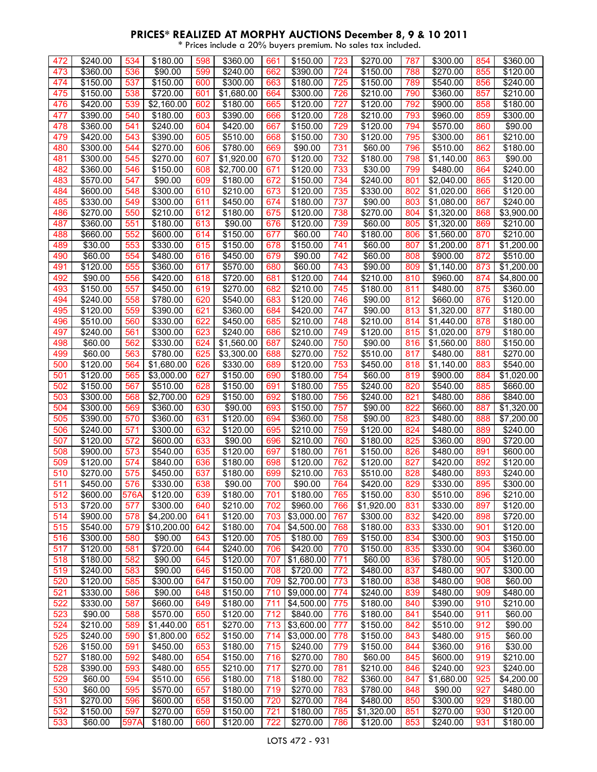| 472 | \$240.00             | 534  | \$180.00    | 598 | \$360.00             | 661 | \$150.00               | 723 | \$270.00             | 787 | \$300.00   | 854 | \$360.00             |
|-----|----------------------|------|-------------|-----|----------------------|-----|------------------------|-----|----------------------|-----|------------|-----|----------------------|
|     |                      |      |             |     |                      |     |                        |     |                      |     |            |     |                      |
| 473 | \$360.00             | 536  | \$90.00     | 599 | \$240.00             | 662 | \$390.00               | 724 | \$150.00             | 788 | \$270.00   | 855 | \$120.00             |
| 474 | \$150.00             | 537  | \$150.00    | 600 | \$300.00             | 663 | \$180.00               | 725 | \$150.00             | 789 | \$540.00   | 856 | \$240.00             |
| 475 | \$150.00             | 538  | \$720.00    | 601 | \$1,680.00           | 664 | \$300.00               | 726 | \$210.00             | 790 | \$360.00   | 857 | \$210.00             |
| 476 | \$420.00             | 539  | \$2,160.00  | 602 | \$180.00             | 665 | \$120.00               | 727 | \$120.00             | 792 | \$900.00   | 858 | \$180.00             |
| 477 | \$390.00             | 540  | \$180.00    | 603 | \$390.00             | 666 | \$120.00               | 728 | \$210.00             | 793 | \$960.00   | 859 | \$300.00             |
| 478 | \$360.00             | 541  | \$240.00    | 604 | \$420.00             | 667 | \$150.00               | 729 | \$120.00             | 794 | \$570.00   | 860 | \$90.00              |
| 479 | \$420.00             | 543  | \$390.00    | 605 | \$510.00             | 668 | \$150.00               | 730 | \$120.00             | 795 | \$300.00   | 861 | \$210.00             |
| 480 | \$300.00             | 544  | \$270.00    | 606 | \$780.00             | 669 | \$90.00                | 731 | \$60.00              | 796 | \$510.00   | 862 | \$180.00             |
| 481 | \$300.00             | 545  | \$270.00    | 607 | \$1,920.00           | 670 | \$120.00               | 732 | \$180.00             | 798 | \$1,140.00 | 863 | \$90.00              |
| 482 | \$360.00             | 546  | \$150.00    | 608 | \$2,700.00           | 671 | \$120.00               | 733 | \$30.00              | 799 | \$480.00   | 864 | \$240.00             |
| 483 | \$570.00             | 547  | \$90.00     | 609 | \$180.00             | 672 | \$150.00               | 734 | \$240.00             | 801 | \$2,040.00 | 865 | \$120.00             |
| 484 | \$600.00             | 548  | \$300.00    | 610 | \$210.00             | 673 | \$120.00               | 735 | \$330.00             | 802 | \$1,020.00 | 866 | \$120.00             |
| 485 | \$330.00             | 549  | \$300.00    | 611 | \$450.00             | 674 | \$180.00               | 737 | \$90.00              | 803 | \$1,080.00 | 867 | \$240.00             |
|     | $\overline{$}270.00$ |      |             | 612 |                      |     |                        |     |                      |     |            |     |                      |
| 486 |                      | 550  | \$210.00    |     | \$180.00             | 675 | \$120.00               | 738 | \$270.00             | 804 | \$1,320.00 | 868 | \$3,900.00           |
| 487 | \$360.00             | 551  | \$180.00    | 613 | \$90.00              | 676 | \$120.00               | 739 | \$60.00              | 805 | \$1,320.00 | 869 | \$210.00             |
| 488 | \$660.00             | 552  | \$600.00    | 614 | \$150.00             | 677 | \$60.00                | 740 | \$180.00             | 806 | \$1,560.00 | 870 | \$210.00             |
| 489 | \$30.00              | 553  | \$330.00    | 615 | \$150.00             | 678 | \$150.00               | 741 | \$60.00              | 807 | \$1,200.00 | 871 | \$1,200.00           |
| 490 | \$60.00              | 554  | \$480.00    | 616 | \$450.00             | 679 | \$90.00                | 742 | \$60.00              | 808 | \$900.00   | 872 | \$510.00             |
| 491 | \$120.00             | 555  | \$360.00    | 617 | \$570.00             | 680 | \$60.00                | 743 | \$90.00              | 809 | \$1,140.00 | 873 | \$1,200.00           |
| 492 | \$90.00              | 556  | \$420.00    | 618 | \$720.00             | 681 | \$120.00               | 744 | \$210.00             | 810 | \$960.00   | 874 | \$4,800.00           |
| 493 | \$150.00             | 557  | \$450.00    | 619 | \$270.00             | 682 | \$210.00               | 745 | \$180.00             | 811 | \$480.00   | 875 | \$360.00             |
| 494 | \$240.00             | 558  | \$780.00    | 620 | \$540.00             | 683 | \$120.00               | 746 | \$90.00              | 812 | \$660.00   | 876 | \$120.00             |
| 495 | \$120.00             | 559  | \$390.00    | 621 | \$360.00             | 684 | \$420.00               | 747 | \$90.00              | 813 | \$1,320.00 | 877 | $\overline{$}180.00$ |
| 496 | \$510.00             | 560  | \$330.00    | 622 | \$450.00             | 685 | \$210.00               | 748 | \$210.00             | 814 | \$1,440.00 | 878 | \$180.00             |
| 497 | \$240.00             | 561  | \$300.00    | 623 | \$240.00             | 686 | $\sqrt{$210.00}$       | 749 | \$120.00             | 815 |            | 879 | $\overline{$}180.00$ |
|     |                      |      |             |     |                      |     |                        |     |                      |     | \$1,020.00 |     |                      |
| 498 | \$60.00              | 562  | \$330.00    | 624 | \$1,560.00           | 687 | \$240.00               | 750 | \$90.00              | 816 | \$1,560.00 | 880 | \$150.00             |
| 499 | \$60.00              | 563  | \$780.00    | 625 | \$3,300.00           | 688 | \$270.00               | 752 | \$510.00             | 817 | \$480.00   | 881 | \$270.00             |
| 500 | $\overline{$}120.00$ | 564  | \$1,680.00  | 626 | \$330.00             | 689 | \$120.00               | 753 | \$450.00             | 818 | \$1,140.00 | 883 | \$540.00             |
| 501 | \$120.00             | 565  | \$3,000.00  | 627 | \$150.00             | 690 | $\overline{$}180.00$   | 754 | \$60.00              | 819 | \$900.00   | 884 | \$1,020.00           |
| 502 | \$150.00             | 567  | \$510.00    | 628 | \$150.00             | 691 | \$180.00               | 755 | \$240.00             | 820 | \$540.00   | 885 | \$660.00             |
| 503 | \$300.00             | 568  | \$2,700.00  | 629 | \$150.00             | 692 | \$180.00               | 756 | \$240.00             | 821 | \$480.00   | 886 | \$840.00             |
| 504 | \$300.00             | 569  | \$360.00    | 630 | \$90.00              | 693 | \$150.00               | 757 | \$90.00              | 822 | \$660.00   | 887 | \$1,320.00           |
| 505 | \$390.00             | 570  | \$360.00    | 631 | \$120.00             | 694 | \$360.00               | 758 | \$90.00              | 823 | \$480.00   | 888 | \$7,200.00           |
| 506 | \$240.00             | 571  | \$300.00    | 632 | \$120.00             | 695 | \$210.00               | 759 | \$120.00             | 824 | \$480.00   | 889 | \$240.00             |
| 507 | $\overline{$}120.00$ | 572  | \$600.00    | 633 | \$90.00              | 696 | \$210.00               | 760 | \$180.00             | 825 | \$360.00   | 890 | $\frac{1}{15720.00}$ |
| 508 | \$900.00             | 573  | \$540.00    | 635 | \$120.00             | 697 | \$180.00               | 761 | \$150.00             | 826 | \$480.00   | 891 | \$600.00             |
| 509 | \$120.00             | 574  | \$840.00    | 636 | \$180.00             | 698 | \$120.00               | 762 | $\overline{$}120.00$ | 827 | \$420.00   | 892 | \$120.00             |
| 510 | \$270.00             | 575  | \$450.00    | 637 | \$180.00             | 699 | \$210.00               | 763 | \$510.00             | 828 | \$480.00   | 893 | \$240.00             |
| 511 | \$450.00             | 576  | \$330.00    | 638 | \$90.00              | 700 | \$90.00                | 764 | \$420.00             | 829 | \$330.00   | 895 | \$300.00             |
| 512 |                      |      |             |     |                      |     |                        |     |                      |     |            |     |                      |
|     | \$600.00             | 576A | \$120.00    | 639 | \$180.00             | 701 | \$180.00               | 765 | \$150.00             | 830 | \$510.00   | 896 | \$210.00             |
| 513 | \$720.00             | 577  | \$300.00    | 640 | $\sqrt{$210.00}$     | 702 | \$960.00               | 766 | \$1,920.00           | 831 | \$330.00   | 897 | \$120.00             |
| 514 | \$900.00             | 578  | \$4,200.00  | 641 | \$120.00             | 703 | \$3,000.00             | 767 | \$300.00             | 832 | \$420.00   | 898 | \$720.00             |
| 515 | \$540.00             | 579  | \$10,200.00 | 642 | \$180.00             | 704 | \$4,500.00             | 768 | \$180.00             | 833 | \$330.00   | 901 | \$120.00             |
| 516 | \$300.00             | 580  | \$90.00     | 643 | \$120.00             | 705 | \$180.00               | 769 | \$150.00             | 834 | \$300.00   | 903 | \$150.00             |
| 517 | \$120.00             | 581  | \$720.00    | 644 | \$240.00             | 706 | \$420.00               | 770 | \$150.00             | 835 | \$330.00   | 904 | \$360.00             |
| 518 | \$180.00             | 582  | \$90.00     | 645 | \$120.00             | 707 | \$1,680.00             | 771 | \$60.00              | 836 | \$780.00   | 905 | \$120.00             |
| 519 | \$240.00             | 583  | \$90.00     | 646 | $\overline{$}150.00$ | 708 | \$720.00               | 772 | \$480.00             | 837 | \$480.00   | 907 | \$300.00             |
| 520 | \$120.00             | 585  | \$300.00    | 647 | \$150.00             | 709 | $\overline{$2,700.00}$ | 773 | \$180.00             | 838 | \$480.00   | 908 | \$60.00              |
| 521 | \$330.00             | 586  | \$90.00     | 648 | \$150.00             | 710 | \$9,000.00             | 774 | \$240.00             | 839 | \$480.00   | 909 | \$480.00             |
| 522 | \$330.00             | 587  | \$660.00    | 649 | \$180.00             | 711 | \$4,500.00             | 775 | \$180.00             | 840 | \$390.00   | 910 | \$210.00             |
| 523 | \$90.00              | 588  | \$570.00    | 650 | \$120.00             | 712 | \$840.00               | 776 | \$180.00             | 841 | \$540.00   | 911 | \$60.00              |
| 524 | \$210.00             | 589  | \$1,440.00  | 651 | \$270.00             | 713 | \$3,600.00             | 777 | \$150.00             | 842 | \$510.00   | 912 | \$90.00              |
| 525 | \$240.00             | 590  | \$1,800.00  | 652 | \$150.00             | 714 | \$3,000.00             | 778 | \$150.00             | 843 | \$480.00   | 915 | \$60.00              |
| 526 | \$150.00             | 591  | \$450.00    | 653 | \$180.00             | 715 | \$240.00               | 779 | \$150.00             |     | \$360.00   | 916 | \$30.00              |
|     |                      |      |             |     |                      |     |                        |     |                      | 844 |            |     |                      |
| 527 | \$180.00             | 592  | \$480.00    | 654 | \$150.00             | 716 | \$270.00               | 780 | \$60.00              | 845 | \$600.00   | 919 | \$210.00             |
| 528 | \$390.00             | 593  | \$480.00    | 655 | \$210.00             | 717 | \$270.00               | 781 | \$210.00             | 846 | \$240.00   | 923 | \$240.00             |
| 529 | \$60.00              | 594  | \$510.00    | 656 | \$180.00             | 718 | \$180.00               | 782 | \$360.00             | 847 | \$1,680.00 | 925 | \$4,200.00           |
| 530 | \$60.00              | 595  | \$570.00    | 657 | \$180.00             | 719 | \$270.00               | 783 | \$780.00             | 848 | \$90.00    | 927 | \$480.00             |
| 531 | \$270.00             | 596  | \$600.00    | 658 | \$150.00             | 720 | \$270.00               | 784 | \$480.00             | 850 | \$300.00   | 929 | \$180.00             |
| 532 | \$150.00             | 597  | \$270.00    | 659 | \$150.00             | 721 | \$180.00               | 785 | \$1,320.00           | 851 | \$270.00   | 930 | \$120.00             |
| 533 | \$60.00              | 597A | \$180.00    | 660 | \$120.00             | 722 | \$270.00               | 786 | \$120.00             | 853 | \$240.00   | 931 | \$180.00             |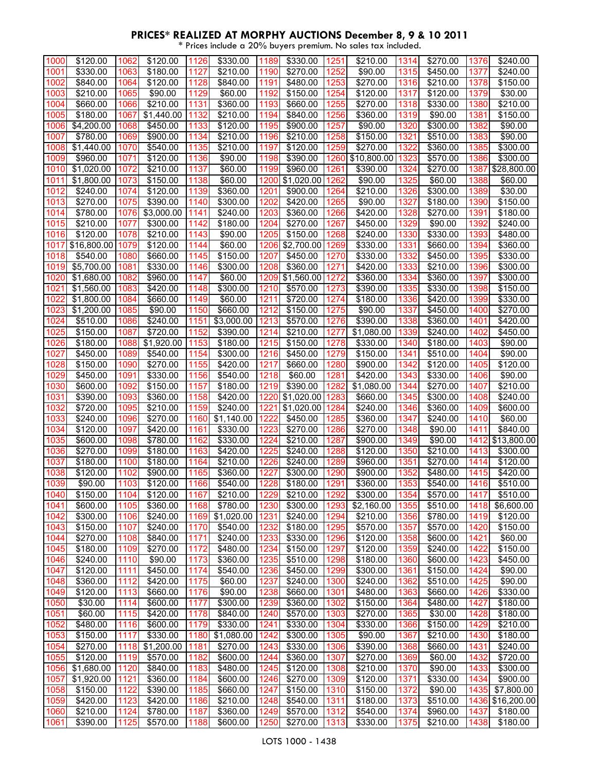| 1000 | \$120.00             | 1062 | \$120.00   | 1126 | \$330.00   | 1189 | \$330.00         | 1251 | \$210.00    | 1314 | \$270.00 | 1376 | \$240.00            |
|------|----------------------|------|------------|------|------------|------|------------------|------|-------------|------|----------|------|---------------------|
| 1001 | \$330.00             | 1063 | \$180.00   | 1127 | \$210.00   | 1190 | \$270.00         | 1252 | \$90.00     | 1315 | \$450.00 | 1377 | \$240.00            |
| 1002 |                      |      |            | 1128 |            |      | \$480.00         |      |             |      |          | 1378 |                     |
|      | \$840.00             | 1064 | \$120.00   |      | \$840.00   | 1191 |                  | 1253 | \$270.00    | 1316 | \$210.00 |      | \$150.00            |
| 1003 | \$210.00             | 1065 | \$90.00    | 1129 | \$60.00    | 1192 | \$150.00         | 1254 | \$120.00    | 1317 | \$120.00 | 1379 | \$30.00             |
| 1004 | \$660.00             | 1066 | \$210.00   | 1131 | \$360.00   | 1193 | \$660.00         | 1255 | \$270.00    | 1318 | \$330.00 | 1380 | \$210.00            |
| 1005 | \$180.00             | 1067 | \$1,440.00 | 1132 | \$210.00   | 1194 | \$840.00         | 1256 | \$360.00    | 1319 | \$90.00  | 1381 | \$150.00            |
| 1006 | \$4,200.00           | 1068 | \$450.00   | 1133 | \$120.00   | 1195 | \$900.00         | 1257 | \$90.00     | 1320 | \$300.00 | 1382 | \$90.00             |
| 1007 | \$780.00             | 1069 | \$900.00   | 1134 | \$210.00   | 1196 | \$210.00         | 1258 | \$150.00    | 1321 | \$510.00 | 1383 | \$90.00             |
| 1008 | \$1,440.00           | 1070 | \$540.00   | 1135 | \$210.00   | 1197 | \$120.00         | 1259 | \$270.00    | 1322 | \$360.00 | 1385 | \$300.00            |
| 1009 | \$960.00             | 1071 | \$120.00   | 1136 | \$90.00    | 1198 | \$390.00         | 1260 | \$10,800.00 | 1323 | \$570.00 | 1386 | \$300.00            |
| 1010 | \$1,020.00           | 1072 | \$210.00   | 1137 | \$60.00    | 1199 | \$960.00         | 1261 | \$390.00    | 1324 | \$270.00 | 1387 | \$28,800.00         |
| 1011 | \$1,800.00           | 1073 | \$150.00   | 1138 | \$60.00    | 1200 | \$1,020.00       | 1262 | \$90.00     | 1325 | \$60.00  | 1388 | \$60.00             |
| 1012 | \$240.00             | 1074 | \$120.00   | 1139 | \$360.00   | 1201 | \$900.00         | 1264 | \$210.00    | 1326 | \$300.00 | 1389 | \$30.00             |
| 1013 | \$270.00             | 1075 | \$390.00   | 1140 | \$300.00   | 1202 | \$420.00         | 1265 | \$90.00     | 1327 | \$180.00 | 1390 | \$150.00            |
| 1014 | \$780.00             | 1076 | \$3,000.00 | 1141 | \$240.00   | 1203 | \$360.00         | 1266 | \$420.00    | 1328 | \$270.00 | 1391 | \$180.00            |
| 1015 | \$210.00             | 1077 | \$300.00   | 1142 | \$180.00   | 1204 | \$270.00         | 1267 | \$450.00    | 1329 | \$90.00  | 1392 | \$240.00            |
| 1016 | \$120.00             | 1078 | \$210.00   | 1143 | \$90.00    | 1205 | \$150.00         | 1268 | \$240.00    | 1330 | \$330.00 | 1393 | \$480.00            |
| 1017 | \$16,800.00          | 1079 | \$120.00   | 1144 | \$60.00    | 1206 | \$2,700.00       | 1269 | \$330.00    | 1331 | \$660.00 | 1394 | \$360.00            |
| 1018 | \$540.00             | 1080 | \$660.00   | 1145 | \$150.00   | 1207 | \$450.00         | 1270 | \$330.00    | 1332 | \$450.00 | 1395 | \$330.00            |
| 1019 | \$5,700.00           | 1081 | \$330.00   | 1146 | \$300.00   | 1208 | \$360.00         | 1271 | \$420.00    | 1333 | \$210.00 | 1396 | \$300.00            |
|      |                      |      |            |      |            |      |                  |      |             |      |          |      |                     |
| 1020 | \$1,680.00           | 1082 | \$960.00   | 1147 | \$60.00    | 1209 | \$1,560.00       | 1272 | \$360.00    | 1334 | \$360.00 | 1397 | \$300.00            |
| 1021 | \$1,560.00           | 1083 | \$420.00   | 1148 | \$300.00   | 1210 | \$570.00         | 1273 | \$390.00    | 1335 | \$330.00 | 1398 | \$150.00            |
| 1022 | \$1,800.00           | 1084 | \$660.00   | 1149 | \$60.00    | 1211 | \$720.00         | 1274 | \$180.00    | 1336 | \$420.00 | 1399 | \$330.00            |
| 1023 | \$1,200.00           | 1085 | \$90.00    | 1150 | \$660.00   | 1212 | \$150.00         | 1275 | \$90.00     | 1337 | \$450.00 | 1400 | $\sqrt{$270.00}$    |
| 1024 | \$510.00             | 1086 | \$240.00   | 1151 | \$3,000.00 | 1213 | \$570.00         | 1276 | \$390.00    | 1338 | \$360.00 | 1401 | \$420.00            |
| 1025 | \$150.00             | 1087 | \$720.00   | 1152 | \$390.00   | 1214 | \$210.00         | 1277 | \$1,080.00  | 1339 | \$240.00 | 1402 | \$450.00            |
| 1026 | \$180.00             | 1088 | \$1,920.00 | 1153 | \$180.00   | 1215 | \$150.00         | 1278 | \$330.00    | 1340 | \$180.00 | 1403 | \$90.00             |
| 1027 | \$450.00             | 1089 | \$540.00   | 1154 | \$300.00   | 1216 | \$450.00         | 1279 | \$150.00    | 1341 | \$510.00 | 1404 | \$90.00             |
| 1028 | \$150.00             | 1090 | \$270.00   | 1155 | \$420.00   | 1217 | \$660.00         | 1280 | \$900.00    | 1342 | \$120.00 | 1405 | \$120.00            |
| 1029 | \$450.00             | 1091 | \$330.00   | 1156 | \$540.00   | 1218 | \$60.00          | 1281 | \$420.00    | 1343 | \$330.00 | 1406 | \$90.00             |
| 1030 | \$600.00             | 1092 | \$150.00   | 1157 | \$180.00   | 1219 | \$390.00         | 1282 | \$1,080.00  | 1344 | \$270.00 | 1407 | \$210.00            |
| 1031 | \$390.00             | 1093 | \$360.00   | 1158 | \$420.00   | 1220 | \$1,020.00       | 1283 | \$660.00    | 1345 | \$300.00 | 1408 | \$240.00            |
| 1032 | \$720.00             | 1095 | \$210.00   | 1159 | \$240.00   | 1221 | \$1,020.00       | 1284 | \$240.00    | 1346 | \$360.00 | 1409 | \$600.00            |
|      |                      |      |            |      |            |      |                  |      |             |      |          |      |                     |
| 1033 | \$240.00             | 1096 |            | 1160 |            | 1222 |                  | 1285 |             | 1347 | \$240.00 | 1410 |                     |
| 1034 |                      | 1097 | \$270.00   | 1161 | \$1,140.00 | 1223 | $\sqrt{3}450.00$ | 1286 | \$360.00    | 1348 |          | 1411 | \$60.00<br>\$840.00 |
|      | \$120.00<br>\$600.00 |      | \$420.00   |      | \$330.00   |      | \$270.00         |      | \$270.00    |      | \$90.00  |      |                     |
| 1035 |                      | 1098 | \$780.00   | 1162 | \$330.00   | 1224 | \$210.00         | 1287 | \$900.00    | 1349 | \$90.00  | 1412 | \$13,800.00         |
| 1036 | \$270.00             | 1099 | \$180.00   | 1163 | \$420.00   | 1225 | \$240.00         | 1288 | \$120.00    | 1350 | \$210.00 | 1413 | \$300.00            |
| 1037 | \$180.00             | 1100 | \$180.00   | 1164 | \$210.00   | 1226 | \$240.00         | 1289 | \$960.00    | 1351 | \$270.00 | 1414 | \$120.00            |
| 1038 | \$120.00             | 1102 | \$900.00   | 1165 | \$360.00   | 1227 | \$300.00         | 1290 | \$900.00    | 1352 | \$480.00 | 1415 | \$420.00            |
| 1039 | \$90.00              | 1103 | \$120.00   | 1166 | \$540.00   | 1228 | \$180.00         | 1291 | \$360.00    | 1353 | \$540.00 | 1416 | \$510.00            |
| 1040 | \$150.00             | 1104 | \$120.00   | 1167 | \$210.00   | 1229 | \$210.00         | 1292 | \$300.00    | 1354 | \$570.00 | 1417 | \$510.00            |
| 1041 | \$600.00             | 1105 | \$360.00   | 1168 | \$780.00   | 1230 | \$300.00         | 1293 | \$2,160.00  | 1355 | \$510.00 | 1418 | \$6,600.00          |
| 1042 | \$300.00             | 1106 | \$240.00   | 1169 | \$1,020.00 | 1231 | \$240.00         | 1294 | \$210.00    | 1356 | \$780.00 | 1419 | \$120.00            |
| 1043 | \$150.00             | 1107 | \$240.00   | 1170 | \$540.00   | 1232 | \$180.00         | 1295 | \$570.00    | 1357 | \$570.00 | 1420 | \$150.00            |
| 1044 | \$270.00             | 1108 | \$840.00   | 1171 | \$240.00   | 1233 | \$330.00         | 1296 | \$120.00    | 1358 | \$600.00 | 1421 | \$60.00             |
| 1045 | \$180.00             | 1109 | \$270.00   | 1172 | \$480.00   | 1234 | \$150.00         | 1297 | \$120.00    | 1359 | \$240.00 | 1422 | \$150.00            |
| 1046 | \$240.00             | 1110 | \$90.00    | 1173 | \$360.00   | 1235 | \$510.00         | 1298 | \$180.00    | 1360 | \$600.00 | 1423 | \$450.00            |
| 1047 | \$120.00             | 1111 | \$450.00   | 1174 | \$540.00   | 1236 | \$450.00         | 1299 | \$300.00    | 1361 | \$150.00 | 1424 | \$90.00             |
| 1048 | \$360.00             | 1112 | \$420.00   | 1175 | \$60.00    | 1237 | \$240.00         | 1300 | \$240.00    | 1362 | \$510.00 | 1425 | \$90.00             |
| 1049 | \$120.00             | 1113 | \$660.00   | 1176 | \$90.00    | 1238 | \$660.00         | 1301 | \$480.00    | 1363 | \$660.00 | 1426 | \$330.00            |
| 1050 | \$30.00              | 1114 | \$600.00   | 1177 | \$300.00   | 1239 | \$360.00         | 1302 | \$150.00    | 1364 | \$480.00 | 1427 | \$180.00            |
| 1051 | \$60.00              | 1115 | \$420.00   | 1178 | \$840.00   | 1240 | \$570.00         | 1303 | \$270.00    | 1365 | \$30.00  | 1428 | \$180.00            |
| 1052 | \$480.00             | 1116 | \$600.00   | 1179 | \$330.00   | 1241 | \$330.00         | 1304 | \$330.00    | 1366 | \$150.00 | 1429 | \$210.00            |
| 1053 | \$150.00             | 1117 | \$330.00   | 1180 | \$1,080.00 | 1242 | \$300.00         | 1305 | \$90.00     | 1367 | \$210.00 | 1430 | \$180.00            |
| 1054 | \$270.00             | 1118 | \$1,200.00 | 1181 | \$270.00   | 1243 | \$330.00         | 1306 | \$390.00    | 1368 | \$660.00 | 1431 | \$240.00            |
| 1055 | \$120.00             | 1119 | \$570.00   | 1182 | \$600.00   | 1244 | \$360.00         | 1307 | \$270.00    | 1369 | \$60.00  | 1432 | \$720.00            |
| 1056 | \$1,680.00           | 1120 | \$840.00   | 1183 | \$480.00   | 1245 | \$120.00         | 1308 | \$210.00    | 1370 | \$90.00  | 1433 | \$300.00            |
| 1057 | \$1,920.00           | 1121 | \$360.00   | 1184 | \$600.00   | 1246 | \$270.00         | 1309 | \$120.00    | 1371 | \$330.00 | 1434 | \$900.00            |
| 1058 | \$150.00             | 1122 | \$390.00   | 1185 | \$660.00   | 1247 | \$150.00         | 1310 | \$150.00    | 1372 | \$90.00  | 1435 | \$7,800.00          |
| 1059 | \$420.00             | 1123 | \$420.00   | 1186 | \$210.00   | 1248 | \$540.00         | 1311 | \$180.00    | 1373 | \$510.00 |      | 1436 \$16,200.00    |
| 1060 | \$210.00             | 1124 | \$780.00   | 1187 | \$360.00   | 1249 | \$570.00         | 1312 | \$540.00    | 1374 | \$960.00 | 1437 | \$180.00            |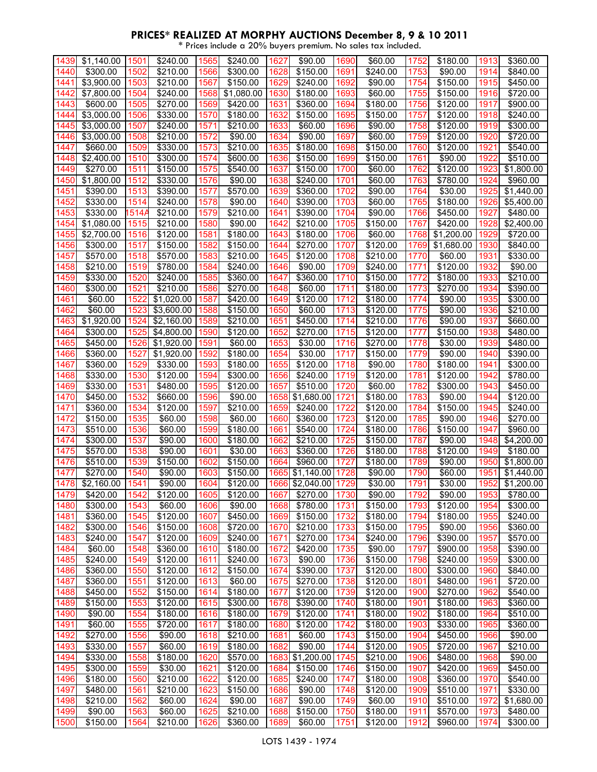| 1439         | \$1,140.00             | 1501         | $\sqrt{$240.00}$    | 1565         | \$240.00             | 1627         | \$90.00             | 1690         | \$60.00              | 1752         | \$180.00             | 1913         | \$360.00             |
|--------------|------------------------|--------------|---------------------|--------------|----------------------|--------------|---------------------|--------------|----------------------|--------------|----------------------|--------------|----------------------|
| 1440         | \$300.00               | 1502         | \$210.00            | 1566         | \$300.00             | 1628         | \$150.00            | 1691         | \$240.00             | 1753         | \$90.00              | 1914         | \$840.00             |
|              |                        |              |                     |              |                      |              |                     |              |                      |              |                      |              |                      |
| 1441         | \$3,900.00             | 1503         | \$210.00            | 1567         | \$150.00             | 1629         | \$240.00            | 1692         | \$90.00              | 1754         | \$150.00             | 1915         | \$450.00             |
| 1442         | \$7,800.00             | 1504         | \$240.00            | 1568         | \$1,080.00           | 1630         | \$180.00            | 1693         | \$60.00              | 1755         | \$150.00             | 1916         | \$720.00             |
| 1443         | \$600.00               | 1505         | \$270.00            | 1569         | \$420.00             | 1631         | \$360.00            | 1694         | \$180.00             | 1756         | \$120.00             | 1917         | \$900.00             |
|              |                        |              |                     |              |                      |              |                     |              |                      |              |                      |              |                      |
| 1444         | \$3,000.00             | 1506         | \$330.00            | 1570         | \$180.00             | 1632         | \$150.00            | 1695         | \$150.00             | 1757         | \$120.00             | 1918         | \$240.00             |
| 1445         | \$3,000.00             | 1507         | \$240.00            | 1571         | \$210.00             | 1633         | \$60.00             | 1696         | \$90.00              | 1758         | \$120.00             | 1919         | \$300.00             |
|              |                        |              |                     |              |                      |              |                     |              |                      |              |                      |              |                      |
| 1446         | \$3,000.00             | 1508         | \$210.00            | 1572         | \$90.00              | 1634         | \$90.00             | 1697         | \$60.00              | 1759         | \$120.00             | 1920         | \$720.00             |
| 1447         | \$660.00               | 1509         | \$330.00            | 1573         | \$210.00             | 1635         | \$180.00            | 1698         | \$150.00             | 1760         | \$120.00             | 1921         | \$540.00             |
| 1448         | $\overline{$2,400.00}$ | 1510         | \$300.00            | 1574         | \$600.00             | 1636         | \$150.00            | 1699         | \$150.00             | 1761         | \$90.00              | 1922         | \$510.00             |
|              |                        |              |                     |              |                      |              |                     |              |                      |              |                      |              |                      |
| 1449         | \$270.00               | 1511         | \$150.00            | 1575         | \$540.00             | 1637         | \$150.00            | 1700         | \$60.00              | 1762         | \$120.00             | 1923         | \$1,800.00           |
| 1450         | \$1,800.00             | 1512         | \$330.00            | 1576         | \$90.00              | 1638         | \$240.00            | 1701         | \$60.00              | 1763         | \$780.00             | 1924         | \$960.00             |
|              |                        |              |                     |              |                      |              |                     |              |                      |              |                      |              |                      |
| 1451         | \$390.00               | 1513         | \$390.00            | 1577         | \$570.00             | 1639         | \$360.00            | 1702         | \$90.00              | 1764         | \$30.00              | 1925         | \$1,440.00           |
| 1452         | \$330.00               | 1514         | \$240.00            | 1578         | \$90.00              | 1640         | \$390.00            | 1703         | \$60.00              | 1765         | \$180.00             | 1926         | \$5,400.00           |
| 1453         | \$330.00               | 1514/        | \$210.00            | 1579         | \$210.00             | 1641         | \$390.00            | 1704         | \$90.00              | 1766         | \$450.00             | 1927         | \$480.00             |
|              |                        |              |                     |              |                      |              |                     |              |                      |              |                      |              |                      |
| 1454         | \$1,080.00             | 1515         | \$210.00            | 1580         | \$90.00              | 1642         | \$210.00            | 1705         | \$150.00             | 1767         | \$420.00             | 1928         | \$2,400.00           |
| 1455         | \$2,700.00             | 1516         | \$120.00            | 1581         | \$180.00             | 1643         | \$180.00            | 1706         | \$60.00              | 1768         | \$1,200.00           | 1929         | \$720.00             |
| 1456         | \$300.00               | 1517         | \$150.00            | 1582         | \$150.00             | 1644         | \$270.00            | 1707         | \$120.00             | 1769         | \$1,680.00           | 1930         | \$840.00             |
|              |                        |              |                     |              |                      |              |                     |              |                      |              |                      |              |                      |
| 1457         | \$570.00               | 1518         | \$570.00            | 1583         | \$210.00             | 1645         | \$120.00            | 1708         | \$210.00             | 1770         | \$60.00              | 1931         | \$330.00             |
| 1458         | \$210.00               | 1519         | \$780.00            | 1584         | \$240.00             | 1646         | \$90.00             | 1709         | \$240.00             | 1771         | \$120.00             | 1932         | \$90.00              |
|              |                        |              |                     |              |                      |              |                     |              |                      |              |                      |              |                      |
| 1459         | \$330.00               | 1520         | \$240.00            | 1585         | \$360.00             | 1647         | \$360.00            | 1710         | $\sqrt{$150.00}$     | 1772         | \$180.00             | 1933         | \$210.00             |
| 1460         | \$300.00               | 1521         | \$210.00            | 1586         | \$270.00             | 1648         | \$60.00             | 1711         | \$180.00             | 1773         | \$270.00             | 1934         | \$390.00             |
| 1461         | \$60.00                | 1522         | \$1,020.00          | 1587         | \$420.00             | 1649         | \$120.00            | 1712         | \$180.00             | 1774         | \$90.00              | 1935         | \$300.00             |
| 1462         | \$60.00                | 1523         | \$3,600.00          | 1588         |                      | 1650         | \$60.00             | 1713         | \$120.00             |              | \$90.00              | 1936         | \$210.00             |
|              |                        |              |                     |              | \$150.00             |              |                     |              |                      | 1775         |                      |              |                      |
| 1463         | \$1,920.00             | 1524         | \$2,160.00          | 1589         | \$210.00             | 1651         | \$450.00            | 1714         | \$210.00             | 1776         | \$90.00              | 1937         | \$660.00             |
| 1464         | \$300.00               | 1525         | \$4,800.00          | 1590         | \$120.00             | 1652         | \$270.00            | 1715         | \$120.00             | 1777         | \$150.00             | 1938         | \$480.00             |
|              |                        |              |                     |              |                      |              |                     |              |                      |              |                      |              |                      |
| 1465         | \$450.00               | 1526         | \$1,920.00          | 1591         | \$60.00              | 1653         | \$30.00             | 1716         | \$270.00             | 1778         | \$30.00              | 1939         | \$480.00             |
| 1466         | \$360.00               | 1527         | \$1,920.00          | 1592         | \$180.00             | 1654         | \$30.00             | 1717         | \$150.00             | 1779         | \$90.00              | 1940         | \$390.00             |
| 1467         | \$360.00               | 1529         | \$330.00            | 1593         | \$180.00             | 1655         | \$120.00            | 1718         | \$90.00              | 1780         | \$180.00             | 1941         | \$300.00             |
| 1468         | \$330.00               | 1530         | \$120.00            | 1594         | \$300.00             | 1656         | \$240.00            | 1719         | \$120.00             | 1781         | \$120.00             | 1942         | \$780.00             |
|              |                        |              |                     |              |                      |              |                     |              |                      |              |                      |              |                      |
| 1469         | \$330.00               | 1531         | \$480.00            | 1595         | \$120.00             | 1657         | \$510.00            | 1720         | \$60.00              | 1782         | \$300.00             | 1943         | \$450.00             |
|              |                        |              |                     |              |                      |              |                     |              |                      |              |                      |              |                      |
|              |                        |              |                     |              |                      |              |                     |              |                      |              |                      |              |                      |
| 1470         | \$450.00               | 1532         | \$660.00            | 1596         | \$90.00              | 1658         | \$1,680.00          | 1721         | \$180.00             | 1783         | \$90.00              | 1944         | \$120.00             |
| 1471         | \$360.00               | 1534         | \$120.00            | 1597         | \$210.00             | 1659         | \$240.00            | 1722         | \$120.00             | 1784         | \$150.00             | 1945         | \$240.00             |
| 1472         | \$150.00               | 1535         | \$60.00             | 1598         | \$60.00              | 1660         | \$360.00            | 1723         | \$120.00             | 1785         | \$90.00              | 1946         | \$270.00             |
|              |                        |              |                     |              |                      | 1661         |                     |              |                      |              |                      | 1947         |                      |
| 1473         | \$510.00               | 1536         | \$60.00             | 1599         | \$180.00             |              | \$540.00            | 1724         | \$180.00             | 1786         | \$150.00             |              | \$960.00             |
| 1474         | \$300.00               | 1537         | \$90.00             | 1600         | \$180.00             | 1662         | \$210.00            | 1725         | \$150.00             | 1787         | \$90.00              | 1948         | \$4,200.00           |
| 1475         | \$570.00               | 1538         | \$90.00             | 1601         | \$30.00              | 1663         | \$360.00            | 1726         | \$180.00             | 1788         | \$120.00             | 1949         | \$180.00             |
|              |                        |              |                     |              | \$150.00             |              |                     |              |                      |              |                      |              | \$1,800.00           |
| 1476         | \$510.00               | 1539         | \$150.00            | 1602         |                      | 1664         | \$960.00            | 1727         | \$180.00             | 1789         | \$90.00              | 1950         |                      |
| 1477         | \$270.00               | 1540         | \$90.00             | 1603         | \$150.00             | 1665         | \$1,140.00          | 1728         | \$90.00              | 1790         | \$60.00              | 1951         | \$1,440.00           |
| 1478         | \$2,160.00             | 1541         | \$90.00             | 1604         | \$120.00             | 1666         | \$2,040.00          | 1729         | \$30.00              | 1791         | \$30.00              | 1952         | \$1,200.00           |
|              | \$420.00               |              |                     |              | \$120.00             |              |                     |              |                      |              |                      |              |                      |
| 1479         |                        | 1542         | \$120.00            | 1605         |                      | 1667         | \$270.00            | 1730         | \$90.00              | 1792         | \$90.00              | 1953         | \$780.00             |
| 1480         | \$300.00               | 1543         | \$60.00             | 1606         | \$90.00              | 1668         | \$780.00            | 1731         | \$150.00             | 1793         | \$120.00             | 1954         | \$300.00             |
| 1481         | \$360.00               | 1545         | \$120.00            | 1607         | \$450.00             | 1669         | \$150.00            | 1732         | \$180.00             | 1794         | \$180.00             | 1955         | \$240.00             |
| 1482         | \$300.00               | 1546         | \$150.00            | 1608         | \$720.00             | 1670         | \$210.00            | 1733         | \$150.00             | 1795         | \$90.00              | 1956         | \$360.00             |
|              |                        |              |                     |              |                      |              |                     |              |                      |              |                      |              |                      |
| 1483         | \$240.00               | 1547         | \$120.00            | 1609         | \$240.00             | 1671         | \$270.00            | 1734         | \$240.00             | 1796         | \$390.00             | 1957         | \$570.00             |
| 1484         | \$60.00                | 1548         | \$360.00            | 1610         | \$180.00             | 1672         | \$420.00            | 1735         | \$90.00              | 1797         | \$900.00             | 1958         | \$390.00             |
| 1485         | \$240.00               | 1549         | \$120.00            | 1611         | \$240.00             | 1673         | \$90.00             | 1736         | \$150.00             | 1798         | $\sqrt{$240.00}$     | 1959         | \$300.00             |
|              |                        |              |                     |              |                      |              |                     |              |                      |              |                      |              |                      |
| 1486         | \$360.00               | 1550         | \$120.00            | 1612         | \$150.00             | 1674         | \$390.00            | 1737         | \$120.00             | 1800         | \$300.00             | 1960         | \$840.00             |
| 1487         | \$360.00               | 1551         | \$120.00            | 1613         | \$60.00              | 1675         | \$270.00            | 1738         | \$120.00             | 1801         | \$480.00             | 1961         | \$720.00             |
| 1488         | \$450.00               | 1552         | \$150.00            | 1614         | \$180.00             | 1677         | \$120.00            | 1739         | \$120.00             | 1900         | \$270.00             | 1962         | \$540.00             |
| 1489         | \$150.00               | 1553         |                     | 1615         | \$300.00             | 1678         |                     | 1740         | \$180.00             | 1901         |                      | 1963         | \$360.00             |
|              |                        |              | \$120.00            |              |                      |              | \$390.00            |              |                      |              | \$180.00             |              |                      |
| 1490         | \$90.00                | 1554         | \$180.00            | 1616         | \$180.00             | 1679         | \$120.00            | 1741         | \$180.00             | 1902         | \$180.00             | 1964         | \$510.00             |
| 1491         | \$60.00                | 1555         | \$720.00            | 1617         | \$180.00             | 1680         | \$120.00            | 1742         | \$180.00             | 1903         | \$330.00             | 1965         | \$360.00             |
| 1492         | \$270.00               | 1556         | \$90.00             | 1618         | \$210.00             | 1681         | \$60.00             | 1743         | \$150.00             | 1904         | \$450.00             | 1966         | \$90.00              |
|              |                        |              |                     |              |                      |              |                     |              |                      |              |                      |              |                      |
| 1493         | \$330.00               | 1557         | \$60.00             | 1619         | \$180.00             | 1682         | \$90.00             | 1744         | \$120.00             | 1905         | \$720.00             | 1967         | \$210.00             |
| 1494         | \$330.00               | 1558         | \$180.00            | 1620         | \$570.00             | 1683         | \$1,200.00          | 1745         | \$210.00             | 1906         | \$480.00             | 1968         | \$90.00              |
| 1495         | \$300.00               | 1559         | \$30.00             | 1621         | \$120.00             | 1684         | \$150.00            | 1746         | \$150.00             | 1907         | \$420.00             | 1969         | \$450.00             |
|              |                        |              |                     |              |                      |              |                     |              |                      |              |                      |              |                      |
| 1496         | \$180.00               | 1560         | \$210.00            | 1622         | \$120.00             | 1685         | \$240.00            | 1747         | \$180.00             | 1908         | \$360.00             | 1970         | \$540.00             |
| 1497         | \$480.00               | 1561         | \$210.00            | 1623         | \$150.00             | 1686         | \$90.00             | 1748         | \$120.00             | 1909         | \$510.00             | 1971         | \$330.00             |
| 1498         | \$210.00               | 1562         | \$60.00             | 1624         | \$90.00              | 1687         | \$90.00             | 1749         | \$60.00              | 1910         | \$510.00             | 1972         | \$1,680.00           |
|              |                        |              |                     |              |                      |              |                     |              |                      |              |                      |              |                      |
| 1499<br>1500 | \$90.00<br>\$150.00    | 1563<br>1564 | \$60.00<br>\$210.00 | 1625<br>1626 | \$210.00<br>\$360.00 | 1688<br>1689 | \$150.00<br>\$60.00 | 1750<br>1751 | \$180.00<br>\$120.00 | 1911<br>1912 | \$570.00<br>\$960.00 | 1973<br>1974 | \$480.00<br>\$300.00 |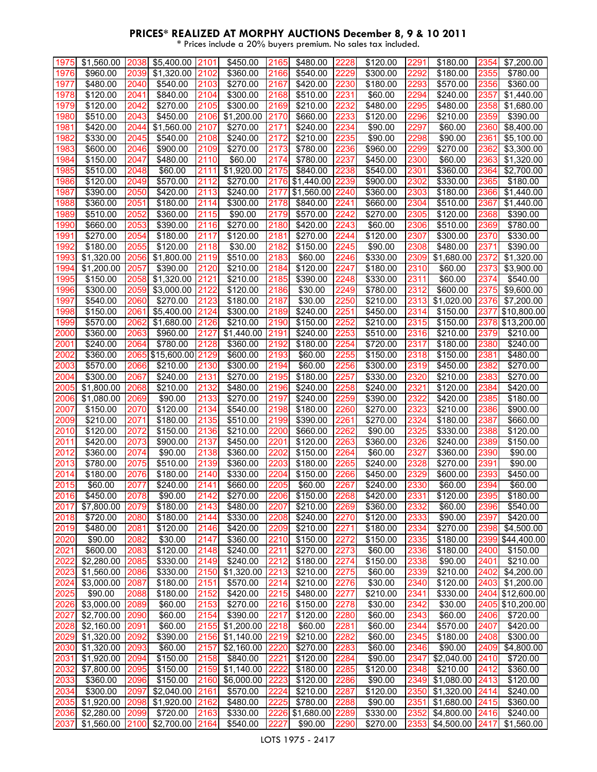| 1975 | \$1,560.00             | 2038 | \$5,400.00             | 2101 | \$450.00   | 2165 | \$480.00        | 2228 | \$120.00             | 2291 | \$180.00             | 2354 | \$7,200.00             |
|------|------------------------|------|------------------------|------|------------|------|-----------------|------|----------------------|------|----------------------|------|------------------------|
| 1976 | \$960.00               | 2039 | \$1,320.00             | 2102 | \$360.00   | 2166 | \$540.00        | 2229 | \$300.00             | 2292 | \$180.00             | 2355 | \$780.00               |
|      |                        |      |                        |      |            |      |                 |      |                      |      | \$570.00             |      |                        |
| 1977 | \$480.00               | 2040 | \$540.00               | 2103 | \$270.00   | 2167 | \$420.00        | 2230 | \$180.00             | 2293 |                      | 2356 | \$360.00               |
| 1978 | \$120.00               | 2041 | \$840.00               | 2104 | \$300.00   | 2168 | \$510.00        | 2231 | \$60.00              | 2294 | \$240.00             | 2357 | $\overline{$}1,440.00$ |
| 1979 | \$120.00               | 2042 | \$270.00               | 2105 | \$300.00   | 2169 | \$210.00        | 2232 | \$480.00             | 2295 | \$480.00             | 2358 | \$1,680.00             |
| 1980 | \$510.00               | 2043 | \$450.00               | 2106 | \$1,200.00 | 2170 | \$660.00        | 2233 | \$120.00             | 2296 | \$210.00             | 2359 | \$390.00               |
|      |                        |      |                        | 2107 |            |      |                 |      | \$90.00              | 2297 | \$60.00              |      |                        |
| 1981 | \$420.00               | 2044 | $\overline{$}1,560.00$ |      | \$270.00   | 2171 | \$240.00        | 2234 |                      |      |                      | 2360 | \$8,400.00             |
| 1982 | \$330.00               | 2045 | \$540.00               | 2108 | \$240.00   | 2172 | \$210.00        | 2235 | \$90.00              | 2298 | \$90.00              | 2361 | \$5,100.00             |
| 1983 | \$600.00               | 2046 | \$900.00               | 2109 | \$270.00   | 2173 | \$780.00        | 2236 | \$960.00             | 2299 | \$270.00             | 2362 | \$3,300.00             |
| 1984 | \$150.00               | 2047 | \$480.00               | 2110 | \$60.00    | 2174 | \$780.00        | 2237 | \$450.00             | 2300 | \$60.00              | 2363 | \$1,320.00             |
| 1985 | \$510.00               | 2048 | \$60.00                | 2111 | \$1,920.00 | 2175 | \$840.00        | 2238 | \$540.00             | 2301 | \$360.00             | 2364 | \$2,700.00             |
|      |                        |      |                        |      |            |      |                 |      |                      |      |                      |      |                        |
| 1986 | \$120.00               | 2049 | \$570.00               | 2112 | \$270.00   | 2176 | \$1,440.00      | 2239 | \$900.00             | 2302 | \$330.00             | 2365 | \$180.00               |
| 1987 | \$390.00               | 2050 | \$420.00               | 2113 | \$240.00   | 2177 | \$1,560.00      | 2240 | \$360.00             | 2303 | $\overline{$}180.00$ | 2366 | \$1,440.00             |
| 1988 | \$360.00               | 2051 | \$180.00               | 2114 | \$300.00   | 2178 | \$840.00        | 2241 | \$660.00             | 2304 | \$510.00             | 2367 | \$1,440.00             |
| 1989 | \$510.00               | 2052 | \$360.00               | 2115 | \$90.00    | 2179 | \$570.00        | 2242 | \$270.00             | 2305 | \$120.00             | 2368 | \$390.00               |
|      |                        |      |                        |      |            |      |                 |      |                      |      |                      |      |                        |
| 1990 | \$660.00               | 2053 | \$390.00               | 2116 | \$270.00   | 2180 | \$420.00        | 2243 | \$60.00              | 2306 | \$510.00             | 2369 | \$780.00               |
| 1991 | \$270.00               | 2054 | \$180.00               | 2117 | \$120.00   | 2181 | \$270.00        | 2244 | \$120.00             | 2307 | \$300.00             | 2370 | \$330.00               |
| 1992 | \$180.00               | 2055 | \$120.00               | 2118 | \$30.00    | 2182 | \$150.00        | 2245 | \$90.00              | 2308 | \$480.00             | 2371 | \$390.00               |
| 1993 | \$1,320.00             | 2056 | \$1,800.00             | 2119 | \$510.00   | 2183 | \$60.00         | 2246 | \$330.00             | 2309 | \$1,680.00           | 2372 | \$1,320.00             |
|      |                        |      |                        |      |            |      |                 |      |                      |      |                      |      |                        |
| 1994 | \$1,200.00             | 2057 | \$390.00               | 2120 | \$210.00   | 2184 | \$120.00        | 2247 | \$180.00             | 2310 | \$60.00              | 2373 | \$3,900.00             |
| 1995 | $\overline{$}150.00$   | 2058 | \$1,320.00             | 2121 | \$210.00   | 2185 | \$390.00        | 2248 | $\overline{$}330.00$ | 2311 | \$60.00              | 2374 | $\sqrt{$}540.00$       |
| 1996 | \$300.00               | 2059 | \$3,000.00             | 2122 | \$120.00   | 2186 | \$30.00         | 2249 | \$780.00             | 2312 | \$600.00             | 2375 | \$9,600.00             |
| 1997 | \$540.00               | 2060 | \$270.00               | 2123 | \$180.00   | 2187 | \$30.00         | 2250 | \$210.00             | 2313 | \$1,020.00           | 2376 | \$7,200.00             |
|      |                        |      |                        |      |            |      |                 |      |                      |      |                      |      |                        |
| 1998 | \$150.00               | 2061 | \$5,400.00             | 2124 | \$300.00   | 2189 | \$240.00        | 2251 | \$450.00             | 2314 | \$150.00             | 2377 | \$10,800.00            |
| 1999 | \$570.00               | 2062 | \$1,680.00             | 2126 | \$210.00   | 2190 | \$150.00        | 2252 | \$210.00             | 2315 | \$150.00             | 2378 | \$13,200.00            |
| 2000 | \$360.00               | 2063 | \$960.00               | 2127 | \$1,440.00 | 2191 | \$240.00        | 2253 | \$510.00             | 2316 | \$210.00             | 2379 | \$210.00               |
| 2001 | \$240.00               | 2064 | \$780.00               | 2128 | \$360.00   | 2192 | \$180.00        | 2254 | \$720.00             | 2317 | \$180.00             | 2380 | \$240.00               |
| 2002 |                        | 2065 |                        | 2129 |            |      |                 |      |                      |      |                      |      | $\sqrt{2}480.00$       |
|      | \$360.00               |      | \$15,600.00            |      | \$600.00   | 2193 | \$60.00         | 2255 | \$150.00             | 2318 | \$150.00             | 2381 |                        |
| 2003 | \$570.00               | 2066 | \$210.00               | 2130 | \$300.00   | 2194 | \$60.00         | 2256 | \$300.00             | 2319 | \$450.00             | 2382 | \$270.00               |
| 2004 | \$300.00               | 2067 | \$240.00               | 2131 | \$270.00   | 2195 | \$180.00        | 2257 | \$330.00             | 2320 | \$210.00             | 2383 | \$270.00               |
| 2005 | \$1,800.00             | 2068 | \$210.00               | 2132 | \$480.00   | 2196 | \$240.00        | 2258 | \$240.00             | 2321 | \$120.00             | 2384 | \$420.00               |
| 2006 | \$1,080.00             | 2069 | \$90.00                | 2133 | \$270.00   | 2197 | \$240.00        | 2259 | \$390.00             | 2322 | \$420.00             | 2385 | \$180.00               |
|      |                        |      |                        |      |            |      |                 |      |                      |      |                      |      |                        |
| 2007 | \$150.00               | 2070 | \$120.00               | 2134 | \$540.00   | 2198 | \$180.00        | 2260 | \$270.00             | 2323 | \$210.00             | 2386 | \$900.00               |
| 2009 | \$210.00               | 2071 | \$180.00               | 2135 | \$510.00   | 2199 | \$390.00        | 2261 | \$270.00             | 2324 | \$180.00             | 2387 | \$660.00               |
| 2010 | $\sqrt{$120.00}$       | 2072 | \$150.00               | 2136 | \$210.00   | 2200 | \$660.00        | 2262 | \$90.00              | 2325 | \$330.00             | 2388 | \$120.00               |
| 2011 | \$420.00               | 2073 | \$900.00               | 2137 | \$450.00   | 2201 | \$120.00        | 2263 | \$360.00             | 2326 | \$240.00             | 2389 | \$150.00               |
|      |                        |      |                        |      |            |      |                 |      |                      |      |                      |      |                        |
| 2012 | \$360.00               | 2074 | \$90.00                | 2138 | \$360.00   | 2202 | \$150.00        | 2264 | \$60.00              | 2327 | \$360.00             | 2390 | \$90.00                |
| 2013 | \$780.00               | 2075 | \$510.00               | 2139 | \$360.00   | 2203 | \$180.00        | 2265 | \$240.00             | 2328 | \$270.00             | 2391 | \$90.00                |
| 2014 | \$180.00               | 2076 | \$180.00               | 2140 | \$330.00   | 2204 | \$150.00        | 2266 | \$450.00             | 2329 | \$600.00             | 2393 | \$450.00               |
| 2015 | \$60.00                | 2077 | \$240.00               | 2141 | \$660.00   | 2205 | \$60.00         | 2267 | \$240.00             | 2330 | \$60.00              | 2394 | \$60.00                |
|      |                        |      |                        |      |            |      |                 |      |                      |      |                      |      |                        |
| 2016 | \$450.00               | 2078 | \$90.00                | 2142 | \$270.00   | 2206 | \$150.00        | 2268 | \$420.00             | 2331 | \$120.00             | 2395 | \$180.00               |
| 2017 | $\overline{$}7,800.00$ | 2079 | \$180.00               | 2143 | \$480.00   | 2207 | \$210.00        | 2269 | \$360.00             | 2332 | \$60.00              | 2396 | \$540.00               |
| 2018 | \$720.00               | 2080 | \$180.00               | 2144 | \$330.00   | 2208 | \$240.00        | 2270 | \$120.00             | 2333 | \$90.00              | 2397 | \$420.00               |
| 2019 | \$480.00               | 2081 | \$120.00               | 2146 | \$420.00   | 2209 | \$210.00        | 2271 | \$180.00             | 2334 | \$270.00             | 2398 | \$4,500.00             |
| 2020 | \$90.00                | 2082 | \$30.00                | 2147 | \$360.00   | 2210 | \$150.00        | 2272 | \$150.00             | 2335 | \$180.00             | 2399 | \$44,400.00            |
|      |                        |      |                        |      |            |      |                 |      |                      |      |                      |      |                        |
| 2021 | \$600.00               | 2083 | \$120.00               | 2148 | \$240.00   | 2211 | \$270.00        | 2273 | \$60.00              | 2336 | \$180.00             | 2400 | \$150.00               |
| 2022 | \$2,280.00             | 2085 | \$330.00               | 2149 | \$240.00   | 2212 | \$180.00        | 2274 | \$150.00             | 2338 | \$90.00              | 2401 | \$210.00               |
| 2023 | \$1,560.00             | 2086 | \$330.00               | 2150 | \$1,320.00 | 2213 | \$210.00        | 2275 | \$60.00              | 2339 | \$210.00             | 2402 | \$4,200.00             |
| 2024 | \$3,000.00             | 2087 | \$180.00               | 2151 | \$570.00   | 2214 | \$210.00        | 2276 | \$30.00              | 2340 | \$120.00             | 2403 | \$1,200.00             |
| 2025 | \$90.00                | 2088 |                        | 2152 |            | 2215 |                 | 2277 |                      | 2341 | \$330.00             |      |                        |
|      |                        |      | \$180.00               |      | \$420.00   |      | \$480.00        |      | \$210.00             |      |                      | 2404 | \$12,600.00            |
| 2026 | \$3,000.00             | 2089 | \$60.00                | 2153 | \$270.00   | 2216 | \$150.00        | 2278 | \$30.00              | 2342 | \$30.00              | 2405 | \$10,200.00            |
| 2027 | \$2,700.00             | 2090 | \$60.00                | 2154 | \$390.00   | 2217 | \$120.00        | 2280 | \$60.00              | 2343 | \$60.00              | 2406 | \$720.00               |
| 2028 | $\overline{$2,160.00}$ | 2091 | \$60.00                | 2155 | \$1,200.00 | 2218 | \$60.00         | 2281 | \$60.00              | 2344 | \$570.00             | 2407 | \$420.00               |
| 2029 | \$1,320.00             | 2092 | \$390.00               | 2156 | \$1,140.00 | 2219 | \$210.00        | 2282 | \$60.00              | 2345 | \$180.00             | 2408 | \$300.00               |
|      |                        |      |                        |      |            |      |                 |      |                      |      |                      |      |                        |
| 2030 | \$1,320.00             | 2093 | \$60.00                | 2157 | \$2,160.00 | 2220 | \$270.00        | 2283 | \$60.00              | 2346 | \$90.00              | 2409 | \$4,800.00             |
| 2031 | \$1,920.00             | 2094 | \$150.00               | 2158 | \$840.00   | 2221 | \$120.00        | 2284 | \$90.00              | 2347 | \$2,040.00           | 2410 | \$720.00               |
| 2032 | \$7,800.00             | 2095 | \$150.00               | 2159 | \$1,140.00 | 2222 | \$180.00        | 2285 | \$120.00             | 2348 | \$210.00             | 2412 | \$360.00               |
| 2033 | \$360.00               | 2096 | \$150.00               | 2160 | \$6,000.00 | 2223 | \$120.00        | 2286 | \$90.00              | 2349 | \$1,080.00           | 2413 | \$120.00               |
|      |                        |      |                        |      |            |      |                 |      |                      |      |                      |      |                        |
| 2034 | \$300.00               | 2097 | \$2,040.00             | 2161 | \$570.00   | 2224 | \$210.00        | 2287 | \$120.00             | 2350 | \$1,320.00           | 2414 | \$240.00               |
| 2035 | \$1,920.00             | 2098 | \$1,920.00             | 2162 | \$480.00   | 2225 | \$780.00        | 2288 | \$90.00              | 2351 | \$1,680.00           | 2415 | \$360.00               |
| 2036 | \$2,280.00             | 2099 | \$720.00               | 2163 | \$330.00   | 2226 | \$1,680.00 2289 |      | \$330.00             | 2352 | \$4,800.00           | 2416 | \$240.00               |
| 2037 | \$1,560.00 2100        |      | \$2,700.00 2164        |      | \$540.00   | 2227 | \$90.00         | 2290 | \$270.00             | 2353 | \$4,500.00 2417      |      | \$1,560.00             |